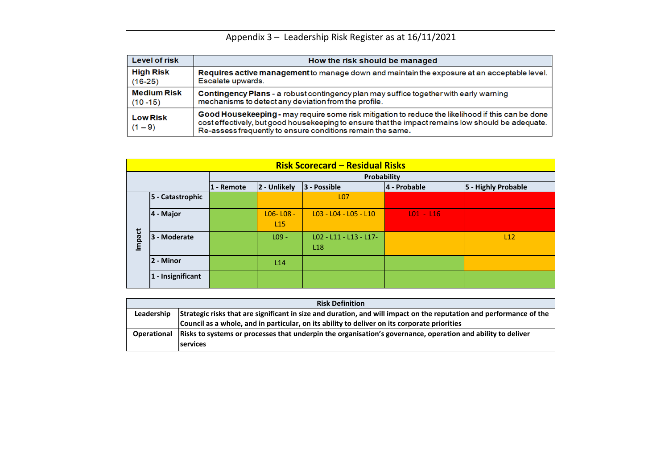| <b>Risk Definition</b>                                                                                          |
|-----------------------------------------------------------------------------------------------------------------|
| Strategic risks that are significant in size and duration, and will impact on the reputation and performance of |
| Council as a whole, and in particular, on its ability to deliver on its corporate priorities                    |
| Risks to systems or processes that underpin the organisation's governance, operation and ability to deliver     |
| <b>services</b>                                                                                                 |
|                                                                                                                 |



# Appendix 3 – Leadership Risk Register as at 16/11/2021

| <b>Level of risk</b>         | How the risk should be managed                                                                                                                                                                                                                |
|------------------------------|-----------------------------------------------------------------------------------------------------------------------------------------------------------------------------------------------------------------------------------------------|
| <b>High Risk</b>             | Requires active management to manage down and maintain the exposure at an acce                                                                                                                                                                |
| $(16-25)$                    | Escalate upwards.                                                                                                                                                                                                                             |
| <b>Medium Risk</b>           | <b>Contingency Plans - a robust contingency plan may suffice together with early warning</b>                                                                                                                                                  |
| $(10 - 15)$                  | mechanisms to detect any deviation from the profile.                                                                                                                                                                                          |
| <b>Low Risk</b><br>$(1 - 9)$ | Good Housekeeping - may require some risk mitigation to reduce the likelihood if this<br>cost effectively, but good housekeeping to ensure that the impact remains low should b<br>Re-assess frequently to ensure conditions remain the same. |

|               |                      |            |                                  | <b>Risk Scorecard - Residual Risks</b>    |              |                     |
|---------------|----------------------|------------|----------------------------------|-------------------------------------------|--------------|---------------------|
|               |                      |            |                                  | Probability                               |              |                     |
|               |                      | 1 - Remote | 2 - Unlikely                     | 3 - Possible                              | 4 - Probable | 5 - Highly Probable |
|               | 5 - Catastrophic     |            |                                  | <b>LO7</b>                                |              |                     |
|               | $ 4 -$ Major         |            | $LO6 - LO8 -$<br>L <sub>15</sub> | $L03 - L04 - L05 - L10$                   | $LO1 - L16$  |                     |
| <b>Impact</b> | 3 - Moderate         |            | $L09 -$                          | LO2 - L11 - L13 - L17-<br>L <sub>18</sub> |              | L12                 |
|               | 2 - Minor            |            | L14                              |                                           |              |                     |
|               | - Insignificant<br>1 |            |                                  |                                           |              |                     |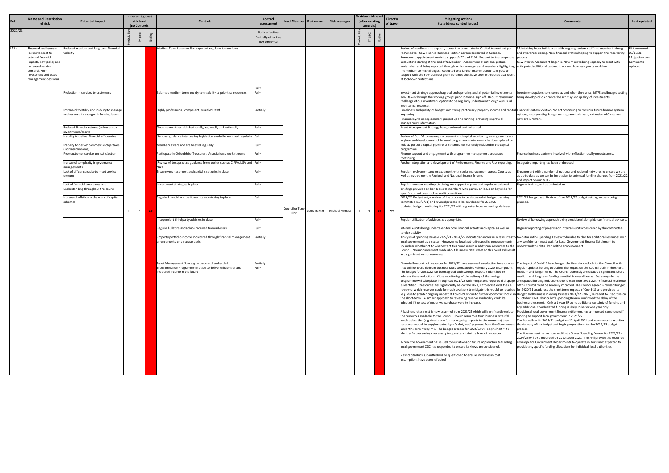|                                                | <b>Comments</b>                                                                                                                                                                                                                                                                                                                                                                                                                                                                                                                                                                                                                                                                                                                                                                                                                                                                                                            | Last updated                                                            |
|------------------------------------------------|----------------------------------------------------------------------------------------------------------------------------------------------------------------------------------------------------------------------------------------------------------------------------------------------------------------------------------------------------------------------------------------------------------------------------------------------------------------------------------------------------------------------------------------------------------------------------------------------------------------------------------------------------------------------------------------------------------------------------------------------------------------------------------------------------------------------------------------------------------------------------------------------------------------------------|-------------------------------------------------------------------------|
|                                                |                                                                                                                                                                                                                                                                                                                                                                                                                                                                                                                                                                                                                                                                                                                                                                                                                                                                                                                            |                                                                         |
| : post<br>porate<br>ighting<br>to<br>result    | Maintaining focus in this area with ongoing review, staff and member training<br>and awareness raising. New financial system helping to support the monitoring<br>process.<br>New interim Accountant began in November to bring capacity to assist with<br>anticipated additional test and trace and business grants workload.                                                                                                                                                                                                                                                                                                                                                                                                                                                                                                                                                                                             | Risk reviewed -<br>09/11/21 -<br>Mitigations and<br>Comments<br>updated |
| ıents<br>w and<br>ısual                        | Investment options considered as and when they arise, MTFS and budget setting<br>being developed to enhance the scrutiny and quality of investments.                                                                                                                                                                                                                                                                                                                                                                                                                                                                                                                                                                                                                                                                                                                                                                       |                                                                         |
|                                                | capital Financial System Solution Project continuing to consider future finance system<br>options, incorporating budget management via Lean, extension of Civica and<br>new procurement.                                                                                                                                                                                                                                                                                                                                                                                                                                                                                                                                                                                                                                                                                                                                   |                                                                         |
| ts are<br>ed on<br>tal                         |                                                                                                                                                                                                                                                                                                                                                                                                                                                                                                                                                                                                                                                                                                                                                                                                                                                                                                                            |                                                                         |
|                                                | Finance business partners involved with reflection locally on outcomes.                                                                                                                                                                                                                                                                                                                                                                                                                                                                                                                                                                                                                                                                                                                                                                                                                                                    |                                                                         |
| ting.                                          | Integrated reporting has been embedded                                                                                                                                                                                                                                                                                                                                                                                                                                                                                                                                                                                                                                                                                                                                                                                                                                                                                     |                                                                         |
| y as                                           | Engagement with a number of national and regional networks to ensure we are<br>as up-to-date as we can be in relation to potential funding changes from 2021/22<br>and impact on our MTFS.                                                                                                                                                                                                                                                                                                                                                                                                                                                                                                                                                                                                                                                                                                                                 |                                                                         |
| ed.<br>s for                                   | Regular training will be undertaken.                                                                                                                                                                                                                                                                                                                                                                                                                                                                                                                                                                                                                                                                                                                                                                                                                                                                                       |                                                                         |
| ing<br>ery.                                    | 2021/22 budget set. Review of the 2021/22 budget setting process being<br>planned.                                                                                                                                                                                                                                                                                                                                                                                                                                                                                                                                                                                                                                                                                                                                                                                                                                         |                                                                         |
|                                                | Review of borrowing approach being considered alongside our financial advisors.                                                                                                                                                                                                                                                                                                                                                                                                                                                                                                                                                                                                                                                                                                                                                                                                                                            |                                                                         |
| as                                             | Regular reporting of progress on internal audits considered by the committee.                                                                                                                                                                                                                                                                                                                                                                                                                                                                                                                                                                                                                                                                                                                                                                                                                                              |                                                                         |
| ents<br>to the<br>I result                     | irces to No detail in the Spending Review to be able to plan for additional resources with<br>any confidence - must wait for Local Government Finance Settlement to<br>understand the detail behind the announcement.                                                                                                                                                                                                                                                                                                                                                                                                                                                                                                                                                                                                                                                                                                      |                                                                         |
| purces<br>itions.<br>ippage<br>en a<br>equired | The impact of Covid19 has changed the financial outlook for the Council, with<br>regular updates neiping to outline the impact on the Council both in the short,<br>medium and longer term. The Council currently anticipates a significant, short,<br>medium and long term funding shortfall in overall terms. Set alongside the<br>anticipated funding reductions due to start from 2021-22 the financial resilience<br>of the Council could be severely impacted. The Council agreed a revised budget<br>for 2020/21 to address the short term impacts of Covid-19 and provided its<br>nocks in Budget and Business Planning Process 2021/22 - 2025/26 report to Executive on<br>5 October 2020. Chancellor's Spending Review confirmed the delay of the<br>business rates reset. Only a 1 year SR so no additional certainty of funding and<br>any additional Covid related funding is likely to be for one year only. |                                                                         |
| educe<br>fall<br>en<br>nment<br>to             | Provisional local government finance settlement has announced some one-off<br>funding to support local government in 2021/22.<br>The Council set its 2021/22 budget on 22 April 2021 and now needs to monitor<br>the delivery of the budget and begin preparations for the 2022/23 budget<br>process<br>The Government has annoucned that a 3 year Spending Review for 2022/23 -<br>2024/25 will be announced on 27 October 2021. This will provide the resource                                                                                                                                                                                                                                                                                                                                                                                                                                                           |                                                                         |
| ding                                           | envelope for Government Departments to operate in, but is not expected to<br>provide any specific funding allocations for individual local authorities.                                                                                                                                                                                                                                                                                                                                                                                                                                                                                                                                                                                                                                                                                                                                                                    |                                                                         |

|         | <b>Name and Description</b><br>of risk                                                                                                                                              | <b>Potential impact</b>                                                                                     |                | Inherent (gross)<br>risk level<br>(no Controls) |           | <b>Controls</b>                                                                                                                                            | Control<br>assessment                                   | ead Member     | <b>Risk owner</b> | <b>Risk manager</b> | Residual risk level<br>(after existing<br>controls) | Direct'n<br>of travel | <b>Mitigating actions</b><br>(to address control issues)                                                                                                                                                                                                                                                                                                                                                                                                                                                                                                                                                                                                                                                                                                                                                                                                                                                                                                                                                                                                                                                                                                                                                                                                                                                                                                                                                                                                                                                                                                                                                                                                                                                                                                                                                                                                                                                                                                                                                                                           | <b>Comments</b>                                                                                                                                                                                                                                                                                                                                                                                                                                                                                                                                                                                                                                                                                                                                                                                                                                                                                                                                                                                                                                                                                                                 | Last updated                                                            |
|---------|-------------------------------------------------------------------------------------------------------------------------------------------------------------------------------------|-------------------------------------------------------------------------------------------------------------|----------------|-------------------------------------------------|-----------|------------------------------------------------------------------------------------------------------------------------------------------------------------|---------------------------------------------------------|----------------|-------------------|---------------------|-----------------------------------------------------|-----------------------|----------------------------------------------------------------------------------------------------------------------------------------------------------------------------------------------------------------------------------------------------------------------------------------------------------------------------------------------------------------------------------------------------------------------------------------------------------------------------------------------------------------------------------------------------------------------------------------------------------------------------------------------------------------------------------------------------------------------------------------------------------------------------------------------------------------------------------------------------------------------------------------------------------------------------------------------------------------------------------------------------------------------------------------------------------------------------------------------------------------------------------------------------------------------------------------------------------------------------------------------------------------------------------------------------------------------------------------------------------------------------------------------------------------------------------------------------------------------------------------------------------------------------------------------------------------------------------------------------------------------------------------------------------------------------------------------------------------------------------------------------------------------------------------------------------------------------------------------------------------------------------------------------------------------------------------------------------------------------------------------------------------------------------------------------|---------------------------------------------------------------------------------------------------------------------------------------------------------------------------------------------------------------------------------------------------------------------------------------------------------------------------------------------------------------------------------------------------------------------------------------------------------------------------------------------------------------------------------------------------------------------------------------------------------------------------------------------------------------------------------------------------------------------------------------------------------------------------------------------------------------------------------------------------------------------------------------------------------------------------------------------------------------------------------------------------------------------------------------------------------------------------------------------------------------------------------|-------------------------------------------------------------------------|
| 2021/22 |                                                                                                                                                                                     |                                                                                                             |                |                                                 |           |                                                                                                                                                            | Fully effective<br>Partially effective<br>Not effective |                |                   |                     |                                                     |                       |                                                                                                                                                                                                                                                                                                                                                                                                                                                                                                                                                                                                                                                                                                                                                                                                                                                                                                                                                                                                                                                                                                                                                                                                                                                                                                                                                                                                                                                                                                                                                                                                                                                                                                                                                                                                                                                                                                                                                                                                                                                    |                                                                                                                                                                                                                                                                                                                                                                                                                                                                                                                                                                                                                                                                                                                                                                                                                                                                                                                                                                                                                                                                                                                                 |                                                                         |
| $LO1 -$ | Financial resilience -<br>Failure to react to<br>external financial<br>mpacts, new policy and<br>increased service<br>demand. Poor<br>investment and asset<br>management decisions. | Reduced medium and long term financial<br>viability                                                         |                |                                                 |           | Medium Term Revenue Plan reported regularly to members.                                                                                                    |                                                         |                |                   |                     |                                                     |                       | Review of workload and capacity across the team. Interim Capital Accountant post<br>recruited to. New Finance Business Partner Corporate started in October.<br>Permanent appointment made to support VAT and S106. Support to the corporate process.<br>accountant starting at the end of November. Assessment of national picture<br>undertaken and being reported through senior managers and members highlighting  anticipated additional test and trace and business grants workload.<br>the medium term challenges. Recruited to a further interim accountant post to<br>support with the new business grant schemes that have been introduced as a result<br>of lockdown restrictions.                                                                                                                                                                                                                                                                                                                                                                                                                                                                                                                                                                                                                                                                                                                                                                                                                                                                                                                                                                                                                                                                                                                                                                                                                                                                                                                                                      | Maintaining focus in this area with ongoing review, staff and member training<br>and awareness raising. New financial system helping to support the monitoring<br>New interim Accountant began in November to bring capacity to assist with                                                                                                                                                                                                                                                                                                                                                                                                                                                                                                                                                                                                                                                                                                                                                                                                                                                                                     | Risk reviewed -<br>09/11/21 -<br>Mitigations and<br>Comments<br>updated |
|         |                                                                                                                                                                                     | Reduction in services to customers                                                                          |                |                                                 |           | Balanced medium term and dynamic ability to prioritise resources                                                                                           | Fully                                                   |                |                   |                     |                                                     |                       | Investment strategy approach agreed and operating and all potential investments<br>now taken through the working groups prior to formal sign off. Robust review and<br>challenge of our investment options to be regularly undertaken through our usual<br>monitoring processes.                                                                                                                                                                                                                                                                                                                                                                                                                                                                                                                                                                                                                                                                                                                                                                                                                                                                                                                                                                                                                                                                                                                                                                                                                                                                                                                                                                                                                                                                                                                                                                                                                                                                                                                                                                   | nvestment options considered as and when they arise, MTFS and budget setting<br>being developed to enhance the scrutiny and quality of investments.                                                                                                                                                                                                                                                                                                                                                                                                                                                                                                                                                                                                                                                                                                                                                                                                                                                                                                                                                                             |                                                                         |
|         |                                                                                                                                                                                     | ncreased volatility and inability to manage<br>and respond to changes in funding levels                     |                |                                                 |           | Highly professional, competent, qualified staff                                                                                                            | Partially                                               |                |                   |                     |                                                     |                       | imeliness and quality of budget monitoring particularly property income and capital Financial System Solution Project continuing to consider future finance system<br>mproving.<br>Financial Systems replacement project up and running providing improved<br>management information.                                                                                                                                                                                                                                                                                                                                                                                                                                                                                                                                                                                                                                                                                                                                                                                                                                                                                                                                                                                                                                                                                                                                                                                                                                                                                                                                                                                                                                                                                                                                                                                                                                                                                                                                                              | options, incorporating budget management via Lean, extension of Civica and<br>new procurement.                                                                                                                                                                                                                                                                                                                                                                                                                                                                                                                                                                                                                                                                                                                                                                                                                                                                                                                                                                                                                                  |                                                                         |
|         |                                                                                                                                                                                     | Reduced financial returns (or losses) on<br>nvestments/assets<br>nability to deliver financial efficiencies |                |                                                 |           | Good networks established locally, regionally and nationally<br>National guidance interpreting legislation available and used regularly Fully              | Fully                                                   |                |                   |                     |                                                     |                       | Asset Management Strategy being reviewed and refreshed.<br>Review of BUILD! to ensure procurement and capital monitoring arrangements are<br>in place and development of forward programme - future work has been placed on                                                                                                                                                                                                                                                                                                                                                                                                                                                                                                                                                                                                                                                                                                                                                                                                                                                                                                                                                                                                                                                                                                                                                                                                                                                                                                                                                                                                                                                                                                                                                                                                                                                                                                                                                                                                                        |                                                                                                                                                                                                                                                                                                                                                                                                                                                                                                                                                                                                                                                                                                                                                                                                                                                                                                                                                                                                                                                                                                                                 |                                                                         |
|         |                                                                                                                                                                                     | nability to deliver commercial objectives<br>increased income)<br>Poor customer service and satisfaction    |                |                                                 |           | Members aware and are briefed regularly<br>Participate in Oxfordshire Treasurers' Association's work streams                                               | Fully<br>Fully                                          |                |                   |                     |                                                     |                       | hold as part of a capital pipeline of schemes not currently included in the capital<br>programme<br>Finance support and engagement with programme management processes                                                                                                                                                                                                                                                                                                                                                                                                                                                                                                                                                                                                                                                                                                                                                                                                                                                                                                                                                                                                                                                                                                                                                                                                                                                                                                                                                                                                                                                                                                                                                                                                                                                                                                                                                                                                                                                                             | inance business partners involved with reflection locally on outcomes.                                                                                                                                                                                                                                                                                                                                                                                                                                                                                                                                                                                                                                                                                                                                                                                                                                                                                                                                                                                                                                                          |                                                                         |
|         |                                                                                                                                                                                     | Increased complexity in governance<br>arrangements<br>Lack of officer capacity to meet service              |                |                                                 |           | Review of best practice guidance from bodies such as CIPFA, LGA and Fully<br>NAO<br>Treasury management and capital strategies in place                    | Fully                                                   |                |                   |                     |                                                     |                       | continuing<br>Further integration and development of Performance, Finance and Risk reporting.<br>Regular involvement and engagement with senior management across County as                                                                                                                                                                                                                                                                                                                                                                                                                                                                                                                                                                                                                                                                                                                                                                                                                                                                                                                                                                                                                                                                                                                                                                                                                                                                                                                                                                                                                                                                                                                                                                                                                                                                                                                                                                                                                                                                        | ntegrated reporting has been embedded<br>Engagement with a number of national and regional networks to ensure we are                                                                                                                                                                                                                                                                                                                                                                                                                                                                                                                                                                                                                                                                                                                                                                                                                                                                                                                                                                                                            |                                                                         |
|         |                                                                                                                                                                                     | demand<br>Lack of financial awareness and<br>understanding throughout the council                           |                |                                                 |           | Investment strategies in place                                                                                                                             | Fully                                                   |                |                   |                     |                                                     |                       | well as involvement in Regional and National finance forums.<br>Regular member meetings, training and support in place and regularly reviewed.<br>Briefings provided on key topics to members with particular focus on key skills for                                                                                                                                                                                                                                                                                                                                                                                                                                                                                                                                                                                                                                                                                                                                                                                                                                                                                                                                                                                                                                                                                                                                                                                                                                                                                                                                                                                                                                                                                                                                                                                                                                                                                                                                                                                                              | as up-to-date as we can be in relation to potential funding changes from 2021/22<br>and impact on our MTFS.<br>Regular training will be undertaken.                                                                                                                                                                                                                                                                                                                                                                                                                                                                                                                                                                                                                                                                                                                                                                                                                                                                                                                                                                             |                                                                         |
|         |                                                                                                                                                                                     | ncreased inflation in the costs of capital<br>schemes                                                       | $\overline{4}$ | $4 \square$                                     | <b>16</b> | Regular financial and performance monitoring in place                                                                                                      | Fully                                                   | Councillor Tor | Lorna Baxter      | Michael Furness     | $\overline{4}$                                      | $\leftrightarrow$     | specific committees such as audit committee.<br>2021/22 Budget set, a review of the process to be discussed at budget planning<br>committee (13/7/21) and revised process to be developed for 2022/23.<br>Updated budget monitoring for 2021/22 with a greater focus on savings delivery.                                                                                                                                                                                                                                                                                                                                                                                                                                                                                                                                                                                                                                                                                                                                                                                                                                                                                                                                                                                                                                                                                                                                                                                                                                                                                                                                                                                                                                                                                                                                                                                                                                                                                                                                                          | 021/22 budget set. Review of the 2021/22 budget setting process being<br>lanned.                                                                                                                                                                                                                                                                                                                                                                                                                                                                                                                                                                                                                                                                                                                                                                                                                                                                                                                                                                                                                                                |                                                                         |
|         |                                                                                                                                                                                     |                                                                                                             |                |                                                 |           | Independent third party advisers in place                                                                                                                  | Fully                                                   | Illot          |                   |                     |                                                     |                       | Regular utilisation of advisors as appropriate.                                                                                                                                                                                                                                                                                                                                                                                                                                                                                                                                                                                                                                                                                                                                                                                                                                                                                                                                                                                                                                                                                                                                                                                                                                                                                                                                                                                                                                                                                                                                                                                                                                                                                                                                                                                                                                                                                                                                                                                                    | Review of borrowing approach being considered alongside our financial advisors                                                                                                                                                                                                                                                                                                                                                                                                                                                                                                                                                                                                                                                                                                                                                                                                                                                                                                                                                                                                                                                  |                                                                         |
|         |                                                                                                                                                                                     |                                                                                                             |                |                                                 |           | Regular bulletins and advice received from advisers<br>Property portfolio income monitored through financial management<br>arrangements on a regular basis | Fully<br>Partially                                      |                |                   |                     |                                                     |                       | nternal Audits being undertaken for core financial activity and capital as well as<br>service activity.<br>Analysis of Spending Review 2022/23 - 2024/25 indicated an increase in resources to No detail in the Spending Review to be able to plan for additional resources with<br>local government as a sector. However no local authority specific announcements<br>so unclear whether ot to what extent this could result in additional resources to the understand the detail behind the announcement<br>Council. No announcement made about business rates reset so this could still result<br>in a significant loss of resources.                                                                                                                                                                                                                                                                                                                                                                                                                                                                                                                                                                                                                                                                                                                                                                                                                                                                                                                                                                                                                                                                                                                                                                                                                                                                                                                                                                                                           | Regular reporting of progress on internal audits considered by the committee.<br>any confidence - must wait for Local Government Finance Settlement to                                                                                                                                                                                                                                                                                                                                                                                                                                                                                                                                                                                                                                                                                                                                                                                                                                                                                                                                                                          |                                                                         |
|         |                                                                                                                                                                                     |                                                                                                             |                |                                                 |           | Asset Management Strategy in place and embedded.<br>Transformation Programme in place to deliver efficiencies and<br>increased income in the future        | Partially<br>Fully                                      |                |                   |                     |                                                     |                       | Financial forecasts of resources for 2021/22 have assumed a reduction in resources The impact of Covid19 has changed the financial outlook for the Council, with<br>that will be available from business rates compared to February 2020 assumptions.<br>The budget for 2021/22 has been agreed with savings proposals identified to<br>address these reductions. Close monitoring of the delivery of the savings<br>programme will take place throughout 2021/22 with mitigations required if slippage  anticipated funding reductions due to start from 2021-22 the financial resilience<br>is identified. If resources fell significantly below the 2021/22 forecast level then a<br>review of which reserves could be made available to mitigate this would be required for 2020/21 to address the short term impacts of Covid-19 and provided its<br>(e.g. due to greater ongoing impact of Covid-19 or due to further economic shocks in Budget and Business Planning Process 2021/22 - 2025/26 report to Executive on<br>the short-term). A similar approach to reviewing reserve availability could be<br>adopted if the cost of goods we purchase were to increase.<br>A business rates reset is now assumed from 2023/24 which will significantly reduce<br>the resources available to the Council. Should resources from business rates fall<br>much below this (e.g. due to any further ongoing impacts to the economy) then<br>resources would be supplemented by a "safety net" payment from the Government Ithe delivery of the budget and begin preparations for the 2022/23 budget<br>under the current regime. The budget process for 2022/23 will begin shortly to<br>identify further savings necessary to operate within this level of resources.<br>Where the Government has issued consultations on future approaches to funding<br>local government CDC has responded to ensure its views are considered.<br>New capital bids submitted will be questioned to ensure increases in cost<br>assumptions have been reflected. | regular updates helping to outline the impact on the Council both in the short,<br>medium and longer term. The Council currently anticipates a significant, short,<br>medium and long term funding shortfall in overall terms. Set alongside the<br>of the Council could be severely impacted. The Council agreed a revised budget<br>5 October 2020. Chancellor's Spending Review confirmed the delay of the<br>business rates reset. Only a 1 year SR so no additional certainty of funding and<br>any additional Covid related funding is likely to be for one year only.<br>Provisional local government finance settlement has announced some one-off<br>funding to support local government in 2021/22.<br>The Council set its 2021/22 budget on 22 April 2021 and now needs to monitor<br>process<br>The Government has annoucned that a 3 year Spending Review for 2022/23 -<br>2024/25 will be announced on 27 October 2021. This will provide the resource<br>envelope for Government Departments to operate in, but is not expected to<br>provide any specific funding allocations for individual local authorities. |                                                                         |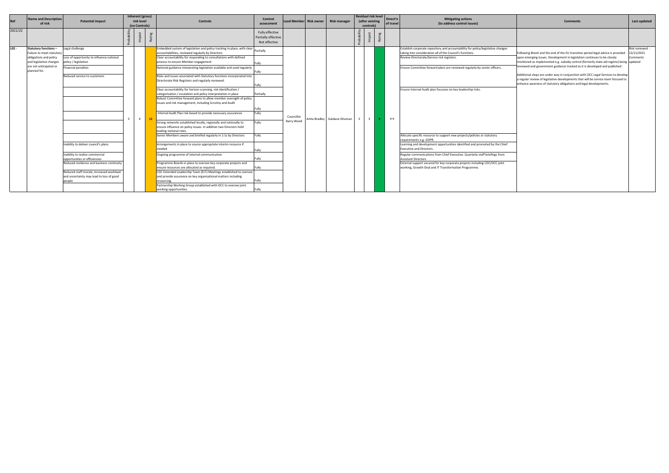|         | <b>Name and Description</b>                       |                                            | Inherent (gross) |    |                                                                                                                         | Control                              |            |                        |                              |                 | Residual risk level   Direct'n |                   | <b>Mitigating actions</b>                                                                               |                                                                                                                                                                     |                        |
|---------|---------------------------------------------------|--------------------------------------------|------------------|----|-------------------------------------------------------------------------------------------------------------------------|--------------------------------------|------------|------------------------|------------------------------|-----------------|--------------------------------|-------------------|---------------------------------------------------------------------------------------------------------|---------------------------------------------------------------------------------------------------------------------------------------------------------------------|------------------------|
| Ref     | of risk                                           | <b>Potential impact</b>                    | risk level       |    | <b>Controls</b>                                                                                                         | assessment                           |            | Lead Member Risk owner | Risk manager                 | (after existing |                                | of travel         | (to address control issues)                                                                             | <b>Comments</b>                                                                                                                                                     | Last updated           |
|         |                                                   |                                            | (no Controls)    |    |                                                                                                                         |                                      |            |                        |                              | controls)       |                                |                   |                                                                                                         |                                                                                                                                                                     |                        |
| 2021/22 |                                                   |                                            |                  |    |                                                                                                                         | Fully effective                      |            |                        |                              |                 |                                |                   |                                                                                                         |                                                                                                                                                                     |                        |
|         |                                                   |                                            |                  |    |                                                                                                                         | Partially effective<br>Not effective |            |                        |                              |                 |                                |                   |                                                                                                         |                                                                                                                                                                     |                        |
|         |                                                   |                                            |                  |    |                                                                                                                         |                                      |            |                        |                              |                 |                                |                   |                                                                                                         |                                                                                                                                                                     |                        |
| $L02 -$ | <b>Statutory functions -</b>                      | Legal challenge                            |                  |    | Embedded system of legislation and policy tracking In place, with clear partially                                       |                                      |            |                        |                              |                 |                                |                   | Establish corporate repository and accountability for policy/legislative changes                        |                                                                                                                                                                     | Risk reviewed -        |
|         | Failure to meet statutor                          | Loss of opportunity to influence national  |                  |    | accountabilities, reviewed regularly by Directors.<br>Clear accountability for responding to consultations with defined |                                      |            |                        |                              |                 |                                |                   | taking into consideration all of the Council's functions.<br>Review Directorate/Service risk registers. | Following Brexit and the end of the EU transition period legal advice is provided                                                                                   | 12/11/2021<br>Comments |
|         | obligations and policy<br>and legislative changes | policy / legislation                       |                  |    | process to ensure Member engagement                                                                                     |                                      |            |                        |                              |                 |                                |                   |                                                                                                         | upon emerging issues. Development in legislation continues to be closely<br>monitored as implemented e.g. subsidy control (formerly state aid regime) being updated |                        |
|         | are not anticipated or                            |                                            |                  |    |                                                                                                                         |                                      |            |                        |                              |                 |                                |                   |                                                                                                         | reviewed and government guidance tracked as it is developed and published                                                                                           |                        |
|         | planned for.                                      | <b>Financial penalties</b>                 |                  |    | National guidance interpreting legislation available and used regularly                                                 |                                      |            |                        |                              |                 |                                |                   | Ensure Committee forward plans are reviewed regularly by senior officers.                               |                                                                                                                                                                     |                        |
|         |                                                   | Reduced service to customers               |                  |    | Risks and issues associated with Statutory functions incorporated into                                                  |                                      |            |                        |                              |                 |                                |                   |                                                                                                         | Additional steps are under way in conjunction with OCC Legal Services to develop                                                                                    |                        |
|         |                                                   |                                            |                  |    | Directorate Risk Registers and regularly reviewed.                                                                      |                                      |            |                        |                              |                 |                                |                   |                                                                                                         | a regular review of legislative developments that will be service team focused to                                                                                   |                        |
|         |                                                   |                                            |                  |    |                                                                                                                         | Fully                                |            |                        |                              |                 |                                |                   |                                                                                                         | enhance awarness of statutory obligations and legal developments.                                                                                                   |                        |
|         |                                                   |                                            |                  |    | Clear accountability for horizon scanning, risk identification /                                                        |                                      |            |                        |                              |                 |                                |                   | Ensure Internal Audit plan focusses on key leadership risks.                                            |                                                                                                                                                                     |                        |
|         |                                                   |                                            |                  |    | categorisation / escalation and policy interpretation in place                                                          | Partially                            |            |                        |                              |                 |                                |                   |                                                                                                         |                                                                                                                                                                     |                        |
|         |                                                   |                                            |                  |    | Robust Committee forward plans to allow member oversight of policy                                                      |                                      |            |                        |                              |                 |                                |                   |                                                                                                         |                                                                                                                                                                     |                        |
|         |                                                   |                                            |                  |    | issues and risk management, including Scrutiny and Audit                                                                |                                      |            |                        |                              |                 |                                |                   |                                                                                                         |                                                                                                                                                                     |                        |
|         |                                                   |                                            |                  |    |                                                                                                                         |                                      |            |                        |                              |                 |                                |                   |                                                                                                         |                                                                                                                                                                     |                        |
|         |                                                   |                                            |                  |    | Internal Audit Plan risk based to provide necessary assurances                                                          | Fully                                |            |                        |                              |                 |                                |                   |                                                                                                         |                                                                                                                                                                     |                        |
|         |                                                   |                                            | 4                | 12 |                                                                                                                         |                                      | Councillor |                        | Anita Bradley Sukdave Ghuman | - 3             |                                | $\leftrightarrow$ |                                                                                                         |                                                                                                                                                                     |                        |
|         |                                                   |                                            |                  |    | Strong networks established locally, regionally and nationally to                                                       | Fully                                | Barry Wood |                        |                              |                 |                                |                   |                                                                                                         |                                                                                                                                                                     |                        |
|         |                                                   |                                            |                  |    | ensure influence on policy issues. In addition two Directors hold                                                       |                                      |            |                        |                              |                 |                                |                   |                                                                                                         |                                                                                                                                                                     |                        |
|         |                                                   |                                            |                  |    | leading national roles.                                                                                                 |                                      |            |                        |                              |                 |                                |                   |                                                                                                         |                                                                                                                                                                     |                        |
|         |                                                   |                                            |                  |    | Senior Members aware and briefed regularly in 1:1s by Directors                                                         | Fully                                |            |                        |                              |                 |                                |                   | Allocate specific resource to support new projects/policies or statutory                                |                                                                                                                                                                     |                        |
|         |                                                   |                                            |                  |    |                                                                                                                         |                                      |            |                        |                              |                 |                                |                   | requirements e.g. GDPR.                                                                                 |                                                                                                                                                                     |                        |
|         |                                                   | Inability to deliver council's plans       |                  |    | Arrangements in place to source appropriate interim resource if                                                         |                                      |            |                        |                              |                 |                                |                   | Learning and development opportunities identified and promoted by the Chief                             |                                                                                                                                                                     |                        |
|         |                                                   |                                            |                  |    | needed                                                                                                                  |                                      |            |                        |                              |                 |                                |                   | <b>Executive and Directors.</b>                                                                         |                                                                                                                                                                     |                        |
|         |                                                   | Inability to realise commercial            |                  |    | Ongoing programme of internal communication                                                                             |                                      |            |                        |                              |                 |                                |                   | Regular communications from Chief Executive. Quarterly staff briefings from                             |                                                                                                                                                                     |                        |
|         |                                                   | opportunities or efficiencies              |                  |    |                                                                                                                         |                                      |            |                        |                              |                 |                                |                   | Assistant Directors.                                                                                    |                                                                                                                                                                     |                        |
|         |                                                   | Reduced resilience and business continuity |                  |    | Programme Boards in place to oversee key corporate projects and                                                         |                                      |            |                        |                              |                 |                                |                   | External support secured for key corporate projects including CDC/OCC joint                             |                                                                                                                                                                     |                        |
|         |                                                   | Reduced staff morale, increased workload   |                  |    | ensure resources are allocated as required.<br>CDC Extended Leadership Team (ELT) Meetings established to oversee       |                                      |            |                        |                              |                 |                                |                   | working, Growth Deal and IT Transformation Programme.                                                   |                                                                                                                                                                     |                        |
|         |                                                   | and uncertainty may lead to loss of good   |                  |    | and provide assurance on key organisational matters including                                                           |                                      |            |                        |                              |                 |                                |                   |                                                                                                         |                                                                                                                                                                     |                        |
|         |                                                   | people                                     |                  |    | resourcing                                                                                                              |                                      |            |                        |                              |                 |                                |                   |                                                                                                         |                                                                                                                                                                     |                        |
|         |                                                   |                                            |                  |    | Partnership Working Group established with OCC to oversee joint                                                         |                                      |            |                        |                              |                 |                                |                   |                                                                                                         |                                                                                                                                                                     |                        |
|         |                                                   |                                            |                  |    | working opportunities.                                                                                                  | Fully                                |            |                        |                              |                 |                                |                   |                                                                                                         |                                                                                                                                                                     |                        |
|         |                                                   |                                            |                  |    |                                                                                                                         |                                      |            |                        |                              |                 |                                |                   |                                                                                                         |                                                                                                                                                                     |                        |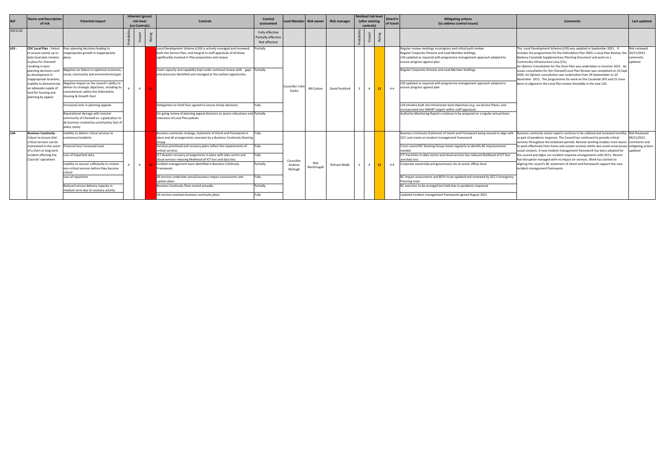|            | <b>Name and Description</b>                                                                                                                                                              |                                                                                                                                                                                                                                                                                                                                         | Inherent (gross) |                                                                                                                                                                                                                                                                                                                                                                                                                                                                                                                                                                                             | <b>Control</b>                                             |                                |                        |                     | Residual risk level |                 | Direct'n          | <b>Mitigating actions</b>                                                                                                                                                                                                                                                                                                                                                                                                                                                                                                                                                                                                                         |                                                                                                                                                                                                                                                                                                                                                                                                                                                                                                                                                                                                        |                                                                                       |
|------------|------------------------------------------------------------------------------------------------------------------------------------------------------------------------------------------|-----------------------------------------------------------------------------------------------------------------------------------------------------------------------------------------------------------------------------------------------------------------------------------------------------------------------------------------|------------------|---------------------------------------------------------------------------------------------------------------------------------------------------------------------------------------------------------------------------------------------------------------------------------------------------------------------------------------------------------------------------------------------------------------------------------------------------------------------------------------------------------------------------------------------------------------------------------------------|------------------------------------------------------------|--------------------------------|------------------------|---------------------|---------------------|-----------------|-------------------|---------------------------------------------------------------------------------------------------------------------------------------------------------------------------------------------------------------------------------------------------------------------------------------------------------------------------------------------------------------------------------------------------------------------------------------------------------------------------------------------------------------------------------------------------------------------------------------------------------------------------------------------------|--------------------------------------------------------------------------------------------------------------------------------------------------------------------------------------------------------------------------------------------------------------------------------------------------------------------------------------------------------------------------------------------------------------------------------------------------------------------------------------------------------------------------------------------------------------------------------------------------------|---------------------------------------------------------------------------------------|
| <b>Ref</b> | of risk                                                                                                                                                                                  | <b>Potential impact</b>                                                                                                                                                                                                                                                                                                                 | risk level       | Control:                                                                                                                                                                                                                                                                                                                                                                                                                                                                                                                                                                                    | assessment                                                 |                                | Lead Member Risk owner | <b>Risk manager</b> | (after existing     |                 | of travel         | (to address control issues)                                                                                                                                                                                                                                                                                                                                                                                                                                                                                                                                                                                                                       | Comment                                                                                                                                                                                                                                                                                                                                                                                                                                                                                                                                                                                                | Last updated                                                                          |
|            |                                                                                                                                                                                          |                                                                                                                                                                                                                                                                                                                                         | (no Controls)    |                                                                                                                                                                                                                                                                                                                                                                                                                                                                                                                                                                                             |                                                            |                                |                        |                     | controls)           |                 |                   |                                                                                                                                                                                                                                                                                                                                                                                                                                                                                                                                                                                                                                                   |                                                                                                                                                                                                                                                                                                                                                                                                                                                                                                                                                                                                        |                                                                                       |
| 2021/22    |                                                                                                                                                                                          |                                                                                                                                                                                                                                                                                                                                         |                  |                                                                                                                                                                                                                                                                                                                                                                                                                                                                                                                                                                                             | Fully effective<br>Partially effective<br>Not effective    |                                |                        |                     |                     |                 |                   |                                                                                                                                                                                                                                                                                                                                                                                                                                                                                                                                                                                                                                                   |                                                                                                                                                                                                                                                                                                                                                                                                                                                                                                                                                                                                        |                                                                                       |
|            | to ensure sound, up to<br>date local plan remains<br>in place for Cherwell<br>resulting in poor<br>planning decisions such<br>as development in                                          | CDC Local Plan - Failure    Poor planning decisions leading to<br>nappropriate growth in inappropriate<br>place.<br>Negative (or failure to optimise) economic<br>social, community and environmental gain                                                                                                                              |                  | Local Development Scheme (LDS) is actively managed and reviewed,<br>built into Service Plan, and integral to staff appraisals of all those<br>significantly involved in Plan preparation and review<br>Team capacity and capability kept under continual review with gaps Partially<br>and pressures identified and managed at the earliest opportunity.                                                                                                                                                                                                                                    | Partially                                                  |                                |                        |                     |                     |                 |                   | Regular review meetings on progress and critical path review.<br>Regular Corporate Director and Lead Member briefings.<br>LDS updated as required with programme management approach adopted to<br>ensure progress against plan.<br>Regular Corporate Director and Lead Member briefings                                                                                                                                                                                                                                                                                                                                                          | The Local Development Scheme (LDS) was updated in September 2021. It<br>includes the programmes for the Oxfordshire Plan 2050, a Local Plan Review, the<br>Banbury Canalside Supplementary Planning Document and work on a<br>Community Infrastructure Levy (CIL).<br>An Options Consultation for the Oxon Plan was undertaken in Summer 2021. Ar<br>issues consultation for the Cherwell Local Plan Review was completed on 14 Sept<br>2020. An Options consultation was undertaken from 29 Septemeber to 10                                                                                          | Risk reviewed<br>$10/11/2021 -$<br>omments<br>updated                                 |
|            | inappropriate locations,<br>inability to demonstrate<br>an adequate supply of<br>land for housing and<br>planning by appeal                                                              | Negative impact on the council's ability to<br>deliver its strategic objectives, including its<br>commitments within the Oxfordshire<br>Housing & Growth Deal                                                                                                                                                                           | $\overline{4}$   |                                                                                                                                                                                                                                                                                                                                                                                                                                                                                                                                                                                             |                                                            | Councillor Col<br>Clarke       | Bill Cotton            | David Peckford      |                     | 12              | $\leftrightarrow$ | LDS updated as required with programme management approach adopted to<br>ensure progress against plan                                                                                                                                                                                                                                                                                                                                                                                                                                                                                                                                             | November 2021. The programmes for work on the Canalside SPD and CIL have<br>been re-aligned to the Local Plan review timetable in the new LDS.                                                                                                                                                                                                                                                                                                                                                                                                                                                         |                                                                                       |
|            |                                                                                                                                                                                          | Increased costs in planning appeals<br>Reputational damage with investor<br>community of Cherwell as a good place to<br>do business created by uncertainty/lack of<br>policy clarity                                                                                                                                                    |                  | Delegations to Chief Exec agreed to ensure timely decisions<br>On-going review of planning appeal decisions to assess robustness and Partially<br>relevance of Local Plan policies                                                                                                                                                                                                                                                                                                                                                                                                          | Fully                                                      |                                |                        |                     |                     |                 |                   | LDS timeline built into Directorate level objectives (e.g. via Service Plans) and<br>incorporated into SMART targets within staff appraisals<br>Authority Monitoring Reports continue to be prepared on a regular annual basis.                                                                                                                                                                                                                                                                                                                                                                                                                   |                                                                                                                                                                                                                                                                                                                                                                                                                                                                                                                                                                                                        |                                                                                       |
|            | <b>Business Continuity</b><br>Failure to ensure that<br>critical services can be<br>maintained in the event<br>of a short or long term<br>incident affecting the<br>Councils' operations | nability to deliver critical services to<br>ustomers/residents<br>Financial loss/increased costs<br>Loss of important data<br>Inability to recover sufficiently to restore<br>non-critical services before they become<br>ritical<br>Loss of reputation<br>Reduced service delivery capacity in<br>medium term due to recovery activity | $\overline{4}$   | Business continuity strategy, statement of intent and framework in<br>place and all arrangements overseen by a Business Continuity Steering<br>Services prioritised and recovery plans reflect the requirements of<br>critical services<br>ICT disaster recovery arrangements in place with data centre and<br>cloud services reducing likelihood of ICT loss and data loss<br>Incident management team identified in Business Continuity<br>Framework<br>All services undertake annual business impact assessments and<br>update plans<br><b>Business Continuity Plans tested annually</b> | Fully<br>Fully<br>Fully<br>Partially<br>Fully<br>Partially | Councillor<br>Andrew<br>McHugh | MacDougall             | Richard Webb        |                     | 12 <sup>7</sup> | $\leftrightarrow$ | Business Continuity Statement of Intent and Framework being revised to align with Business continuity status reports continue to be collated and reviewed montlhy<br>OCC and create an incident management framework<br>Cross-council BC Steering Group meets regularly to identify BC improvements<br>ICT transition to data centre and cloud services has reduced likelihood of ICT loss<br>and data loss<br>Corporate ownership and governance sits at senior officer level<br>BC Impact assessments and BCPs to be updated and reviewed by OCC's Emergency<br>Planning team<br>BC exercises to be arranged (on hold due to pandemic response) | as part of pandemic response. The Council has continued to provide critical<br>services throughout the lockdown periods. Remote working enables most teams<br>to work effectively from home and sustain services whilst also avoid unnecessar<br>social contacts. A new incident management framework has been adopted for<br>the council and aligns our incident response arrangements with OCCs. Recent<br>fuel disruption managed with no impact on services. Work has started on<br>aligning the council's BC statement of intent and framework support this new<br>incident management framework. | <b>Risk Reviewed</b><br>09/11/2021 -<br>Comments and<br>mitigating actions<br>updated |
|            |                                                                                                                                                                                          |                                                                                                                                                                                                                                                                                                                                         |                  | All services maintain business continuity plans                                                                                                                                                                                                                                                                                                                                                                                                                                                                                                                                             | Fully                                                      |                                |                        |                     |                     |                 |                   | Updated Incident management framework agreed August 2021                                                                                                                                                                                                                                                                                                                                                                                                                                                                                                                                                                                          |                                                                                                                                                                                                                                                                                                                                                                                                                                                                                                                                                                                                        |                                                                                       |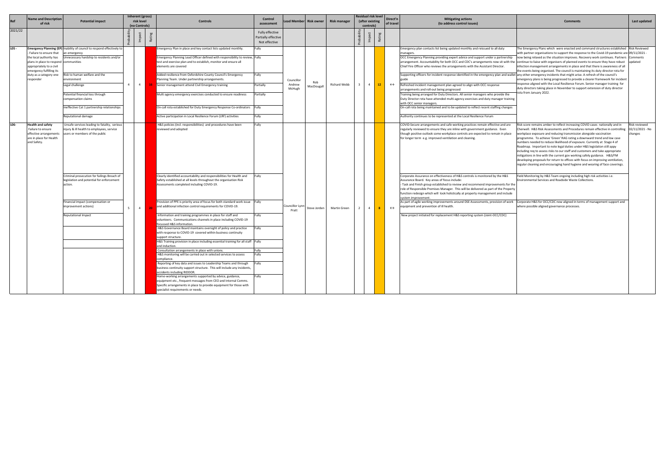|                      | <b>Name and Description</b>                                                                                                                                                    |                                                                                                                                                                                                                                                                                                                                        |                | Inherent (gross)            |                                                                                                                                                                                                                                                                                                                                                                                                                                                                                                                                                                                                                                                                                                                                                                                                                                                                                                                                                                                                                                                                                                                                                                                                                                                                                                                                                                                                                              | Control                                                 |                                |                        |              | Residual risk level          |         | Direct'n          | <b>Mitigating actions</b>                                                                                                                                                                                                                                                                                                                                                                                                                                                                                                                                                                                                                                                                                                                                                                                                                                                                                                                      |                                                                                                                                                                                                                                                                                                                                                                                                                                                                                                                                                                                                                                                                                                                                                                                                                                                                                                                                                                                                                                                                         |                                             |
|----------------------|--------------------------------------------------------------------------------------------------------------------------------------------------------------------------------|----------------------------------------------------------------------------------------------------------------------------------------------------------------------------------------------------------------------------------------------------------------------------------------------------------------------------------------|----------------|-----------------------------|------------------------------------------------------------------------------------------------------------------------------------------------------------------------------------------------------------------------------------------------------------------------------------------------------------------------------------------------------------------------------------------------------------------------------------------------------------------------------------------------------------------------------------------------------------------------------------------------------------------------------------------------------------------------------------------------------------------------------------------------------------------------------------------------------------------------------------------------------------------------------------------------------------------------------------------------------------------------------------------------------------------------------------------------------------------------------------------------------------------------------------------------------------------------------------------------------------------------------------------------------------------------------------------------------------------------------------------------------------------------------------------------------------------------------|---------------------------------------------------------|--------------------------------|------------------------|--------------|------------------------------|---------|-------------------|------------------------------------------------------------------------------------------------------------------------------------------------------------------------------------------------------------------------------------------------------------------------------------------------------------------------------------------------------------------------------------------------------------------------------------------------------------------------------------------------------------------------------------------------------------------------------------------------------------------------------------------------------------------------------------------------------------------------------------------------------------------------------------------------------------------------------------------------------------------------------------------------------------------------------------------------|-------------------------------------------------------------------------------------------------------------------------------------------------------------------------------------------------------------------------------------------------------------------------------------------------------------------------------------------------------------------------------------------------------------------------------------------------------------------------------------------------------------------------------------------------------------------------------------------------------------------------------------------------------------------------------------------------------------------------------------------------------------------------------------------------------------------------------------------------------------------------------------------------------------------------------------------------------------------------------------------------------------------------------------------------------------------------|---------------------------------------------|
|                      | of risk                                                                                                                                                                        | <b>Potential impact</b>                                                                                                                                                                                                                                                                                                                |                | risk level<br>(no Controls) | <b>Controls</b>                                                                                                                                                                                                                                                                                                                                                                                                                                                                                                                                                                                                                                                                                                                                                                                                                                                                                                                                                                                                                                                                                                                                                                                                                                                                                                                                                                                                              | assessment                                              |                                | Lead Member Risk owner | Risk manager | (after existing<br>controls) |         | of travel         | (to address control issues)                                                                                                                                                                                                                                                                                                                                                                                                                                                                                                                                                                                                                                                                                                                                                                                                                                                                                                                    | <b>Comments</b>                                                                                                                                                                                                                                                                                                                                                                                                                                                                                                                                                                                                                                                                                                                                                                                                                                                                                                                                                                                                                                                         | Last updated                                |
| 2021/22              |                                                                                                                                                                                |                                                                                                                                                                                                                                                                                                                                        |                |                             |                                                                                                                                                                                                                                                                                                                                                                                                                                                                                                                                                                                                                                                                                                                                                                                                                                                                                                                                                                                                                                                                                                                                                                                                                                                                                                                                                                                                                              | Fully effective<br>Partially effective<br>Not effective |                                |                        |              |                              | Rati    |                   |                                                                                                                                                                                                                                                                                                                                                                                                                                                                                                                                                                                                                                                                                                                                                                                                                                                                                                                                                |                                                                                                                                                                                                                                                                                                                                                                                                                                                                                                                                                                                                                                                                                                                                                                                                                                                                                                                                                                                                                                                                         |                                             |
| $LOS -$<br>responder | - Failure to ensure that<br>the local authority has<br>plans in place to respond communities<br>appropriately to a civil<br>emergency fulfilling its<br>duty as a category one | Emergency Planning (EP) Inability of council to respond effectively to<br>an emergency<br>Unnecessary hardship to residents and/or<br>Risk to human welfare and the<br>environment<br>Legal challenge<br>Potential financial loss through<br>compensation claims<br>Ineffective Cat 1 partnership relationships<br>Reputational damage | $\overline{4}$ | $4\phantom{0}$              | Emergency Plan in place and key contact lists updated monthly.<br>Emergency Planning Lead Officer defined with responsibility to review, Fully<br>test and exercise plan and to establish, monitor and ensure all<br>elements are covered<br>Added resilience from Oxfordshire County Council's Emergency<br>Planning Team. Under partnership arrangements.<br>Senior management attend Civil Emergency training<br>Multi agency emergency exercises conducted to ensure readiness<br>On-call rota established for Duty Emergency Response Co-ordinators Fully<br>Active participation in Local Resilience Forum (LRF) activities                                                                                                                                                                                                                                                                                                                                                                                                                                                                                                                                                                                                                                                                                                                                                                                            | Fully<br>Fully<br>Partially<br>Partially<br>Fully       | Councillor<br>Andrew<br>McHugh | MacDougall             | Richard Webb | $\overline{4}$               | $12-12$ | $\leftrightarrow$ | Emergency plan contacts list being updated monthly and reissued to all duty<br>managers.<br>OCC Emergency Planning providing expert advice and support under a partnership<br>Chief Fire Officer who reviews the arrangements with the Assistant Director.<br>Supporting officers for incident response identified in the emergency plan and wallet any other emergency incidents that might arise. A refresh of the council's<br>Refreshed incident management plan agreed to align with OCC response<br>arrangements and roll-out being progressed<br>Training being arranged for Duty Directors. All senior managers who provide the<br>Duty Director rota have attended multi-agency exercises and duty manager training<br>with OCC senior managers.<br>On-call rota being maintained and to be updated to reflect recent staffing changes<br>Authority continues to be represented at the Local Resilience Forum                         | The Emergency Plans which were enacted and command structures established Risk Reviewed<br>with partner organisations to support the response to the Covid-19 pandemic are 09/11/2021 -<br>now being relaxed as the situation improves. Recovery work continues. Partners Comments<br>arrangement. Accountability for both OCC and CDC's arrangements now sit with the continue to liaise with organisers of planned events to ensure they have robust<br>infection management arrangements in place and that there is awareness of all<br>the events being organised. The council is maintaining its duty director rota for<br>emergency plans is being progressed to provide a clearer framework for incident<br>response aligned with the Local Resilience Forum. Senior manager training for<br>duty directors taking place in November to support extension of duty director<br>rota from January 2022.                                                                                                                                                            | updated                                     |
| L06-<br>and Safety.  | <b>Health and safety</b><br>Failure to ensure<br>effective arrangements<br>are in place for Health                                                                             | Unsafe services leading to fatality, serious<br>injury & ill health to employees, service<br>users or members of the public<br>Criminal prosecution for failings Breach of<br>legislation and potential for enforcement<br>action.<br>Financial impact (compensation or<br>improvement actions)<br>Reputational Impact                 | 5 <sup>7</sup> | 4                           | H&S policies (incl. responsibilities) and procedures have been<br>reviewed and adopted<br>Clearly identified accountability and responsibilities for Health and<br>Safety established at all levels throughout the organisation Risk<br>Assessments completed including COVID-19.<br>Provision of PPE is priority area of focus for both standard work issue Fully<br>and additional infection control requirements for COVID-19.<br>Information and training programmes in place for staff and<br>volunteers. Communications channels in place including COVID-19<br>focussed H&S information.<br>H&S Governance Board maintains oversight of policy and practice<br>with response to COVID-19 covered within business continuity<br>support structure.<br>H&S Training provision in place including essential training for all staff Fully<br>and induction.<br>Consultation arrangements in place with unions.<br>H&S monitoring will be carried out in selected services to assess<br>compliance.<br>Reporting of key data and issues to Leadership Teams and through<br>business continuity support structure. This will include any incidents,<br>accidents including RIDDOR.<br>Home-working arrangements supported by advice, guidance,<br>equipment etc., frequent messages from CEO and Internal Comms.<br>Specific arrangements in place to provide equipment for those with<br>specialist requirements or needs. | Fully<br>Fully<br>Fully<br>Fully<br>Fully<br>ully       | Councillor Lynr<br>Pratt       | Steve Jorden           | Martin Green | $\overline{4}$               |         | $\leftrightarrow$ | COVID-Secure arrangements and safe working practices remain effective and are<br>regularly reviewed to ensure they are inline with government guidance. Even<br>though positive outlook some workplace controls are expected to remain in place<br>for longer term e.g. improved ventilation and cleaning.<br>Corporate Assurance on effectiveness of H&S controls is monitored by the H&S<br>Assurance Board. Key areas of focus include:<br>- Task and Finish group established to review and recommend improvements for the<br>role of Responsible Premises Manager. This will be delivered as part of the Property<br>function redesign which will look holistically at property management and include<br>system improvement.<br>As part of agile working improvements around DSE Assessments, provision of work<br>equipment and prevention of ill health.<br>New project initiated for replacement H&S reporting system (Joint-OCC/CDC) | Risk score remains amber to reflect increasing COVID cases nationally and in<br>Cherwell. H&S Risk Assessments and Procedures remain effective in controlling<br>workplace exposure and reducing transmission alongside vaccination<br>programme. To achieve 'Green' RAG rating a downward trend and low case<br>numbers needed to reduce likelihood of expsoure. Currently at Stage 4 of<br>Roadmap. Important to note legal duties under H&S legislation still appy<br>including req to assess risks to our staff and customers and take appropriate<br>mitigations in line with the current gov working safely guidance. H&S/FM<br>developing proposals for return to offices with focus on improving ventilation,<br>regular cleaning and encouraging hand hygiene and wearing of face coverings.<br>Field Monitoring by H&S Team ongoing including high risk activities i.e.<br>Environmental Services and Roadside Waste Collections.<br>Corporate H&S for OCC/CDC now aligned in terms of management support and<br>where possible aligned governance processes. | Risk reviewed<br>02/11/2021 - No<br>hanges: |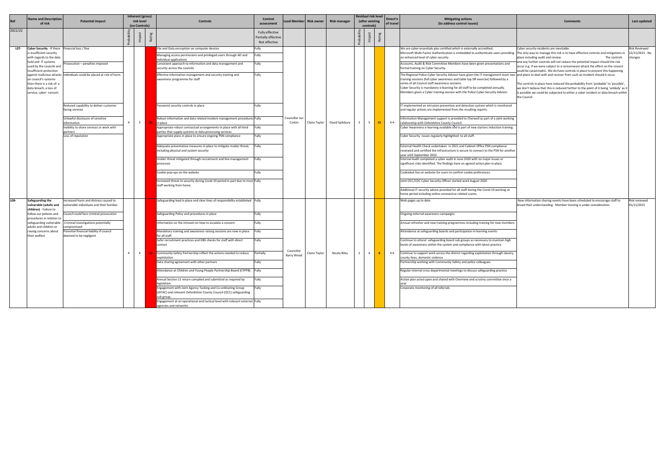| <b>Re</b> | <b>Name and Description</b><br>of risk                                                                                               | <b>Potential impact</b>                                                           |                | Inherent (gross)<br>risk level |      | <b>Controls</b>                                                                                                                                  | Control                                                 | Lead Member Risk owner   |               | <b>Risk manager</b> | Residual risk level<br>(after existing |      | Direct'n          | <b>Mitigating actions</b>                                                                                                                                                                                                                                                                                                                                                                                                                                             | <b>Comments</b>                                                                                                                                                                                                                                                                   | Last updated                |
|-----------|--------------------------------------------------------------------------------------------------------------------------------------|-----------------------------------------------------------------------------------|----------------|--------------------------------|------|--------------------------------------------------------------------------------------------------------------------------------------------------|---------------------------------------------------------|--------------------------|---------------|---------------------|----------------------------------------|------|-------------------|-----------------------------------------------------------------------------------------------------------------------------------------------------------------------------------------------------------------------------------------------------------------------------------------------------------------------------------------------------------------------------------------------------------------------------------------------------------------------|-----------------------------------------------------------------------------------------------------------------------------------------------------------------------------------------------------------------------------------------------------------------------------------|-----------------------------|
|           |                                                                                                                                      |                                                                                   |                | (no Controls)                  |      |                                                                                                                                                  | assessment                                              |                          |               |                     | controls)                              |      | of travel         | (to address control issues)                                                                                                                                                                                                                                                                                                                                                                                                                                           |                                                                                                                                                                                                                                                                                   |                             |
| 2021/22   |                                                                                                                                      |                                                                                   |                |                                | Rati |                                                                                                                                                  | Fully effective<br>Partially effective<br>Not effective |                          |               |                     |                                        | Rati |                   |                                                                                                                                                                                                                                                                                                                                                                                                                                                                       |                                                                                                                                                                                                                                                                                   |                             |
| LO7-      | Cyber Security - If there                                                                                                            | Financial loss / fine                                                             |                |                                |      | File and Data encryption on computer devices                                                                                                     | Fully                                                   |                          |               |                     |                                        |      |                   | We are cyber-essentials plus certified which is externally accredited.                                                                                                                                                                                                                                                                                                                                                                                                | Cyber security incidents are inevitable.                                                                                                                                                                                                                                          | Risk Reviewed               |
|           | is insufficient security<br>with regards to the data<br>held and IT systems                                                          |                                                                                   |                |                                |      | Managing access permissions and privileged users through AD and<br>individual applications                                                       | Fully                                                   |                          |               |                     |                                        |      |                   | Microsoft Multi-Factor Authentication is embedded to authenticate users providing  The only way to manage this risk is to have effective controls and mitigations in<br>an enhanced level of cyber security.                                                                                                                                                                                                                                                          | place including audit and review.<br>The controls<br>ind any further controls will not reduce the potential impact should the risk                                                                                                                                                | 12/11/2021 - Nc<br>changes  |
|           | used by the councils and<br>insufficient protection                                                                                  | rosecution – penalties imposed                                                    |                |                                |      | Consistent approach to information and data management and<br>security across the councils                                                       | Fully                                                   |                          |               |                     |                                        |      |                   | Accounts, Audit & Risk Committee Members have been given presentations and<br>formal training on Cyber Security.                                                                                                                                                                                                                                                                                                                                                      | occur e.g. if we were subject to a ransomware attack the effect on the council<br>ould be catastrophic. We do have controls in place to prevent this happening                                                                                                                    |                             |
|           | against malicious attacks<br>on council's systems<br>then there is a risk of: a<br>data breach, a loss of<br>service, cyber- ransom. | ndividuals could be placed at risk of harm                                        |                |                                |      | Effective information management and security training and<br>awareness programme for staff                                                      | Fully                                                   |                          |               |                     |                                        |      |                   | The Regional Police Cyber Security Advisor have given the IT management team two and plans to deal with and recover from such an incident should it occur.<br>training sessions (full cyber awareness and table top DR exercise) followed by a<br>series of all-Council staff awareness sessions.<br>Cyber Security is mandatory e-learning for all staff to be completed annually.<br>Members given a Cyber training session with the Police Cyber Security Advisor. | The controls in place have reduced the probability from 'probable' to 'possible',<br>we don't believe that this is reduced further to the point of it being 'unlikely' as it<br>s possible we could be subjected to either a cyber incident or data breach within<br>the Council. |                             |
|           |                                                                                                                                      | Reduced capability to deliver customer<br>facing services                         |                |                                |      | Password security controls in place                                                                                                              | Fully                                                   |                          |               |                     |                                        |      |                   | IT implemented an intrusion prevention and detection system which is monitored<br>and regular actions are implemented from the resulting reports.                                                                                                                                                                                                                                                                                                                     |                                                                                                                                                                                                                                                                                   |                             |
|           |                                                                                                                                      | Unlawful disclosure of sensitive<br><b>nformation</b>                             | $\overline{4}$ | 5 <sub>1</sub>                 | -20  | Robust information and data related incident management procedures Fully<br>in place                                                             |                                                         | Councillor lar<br>Corkin | Claire Taylor | David Spilsbury     | - 5                                    | -15  | $\leftrightarrow$ | Information Management support is provided to Cherwell as part of a joint working<br>relationship with Oxfordshire County Council.                                                                                                                                                                                                                                                                                                                                    |                                                                                                                                                                                                                                                                                   |                             |
|           |                                                                                                                                      | Inability to share services or work with                                          |                |                                |      | Appropriate robust contractual arrangements in place with all third                                                                              | Fully                                                   |                          |               |                     |                                        |      |                   | Cyber Awareness e-learning available and is part of new starters induction training.                                                                                                                                                                                                                                                                                                                                                                                  |                                                                                                                                                                                                                                                                                   |                             |
|           |                                                                                                                                      | partners<br>Loss of reputation                                                    |                |                                |      | parties that supply systems or data processing services<br>Appropriate plans in place to ensure ongoing PSN compliance                           | Fully                                                   |                          |               |                     |                                        |      |                   | Cyber Security issues regularly highlighted to all staff.                                                                                                                                                                                                                                                                                                                                                                                                             |                                                                                                                                                                                                                                                                                   |                             |
|           |                                                                                                                                      |                                                                                   |                |                                |      | Adequate preventative measures in place to mitigate insider threat,<br>including physical and system security                                    | Fully                                                   |                          |               |                     |                                        |      |                   | External Health Check undertaken in 2021 and Cabinet Office PSN compliance<br>reviewed and certified the infrastructure is secure to connect to the PSN for another<br>year until September 2022.                                                                                                                                                                                                                                                                     |                                                                                                                                                                                                                                                                                   |                             |
|           |                                                                                                                                      |                                                                                   |                |                                |      | Insider threat mitigated through recruitment and line management<br>processes                                                                    | Fully                                                   |                          |               |                     |                                        |      |                   | Internal Audit completed a cyber audit in June 2020 with no major issues or<br>significant risks identified. The findings have an agreed action plan in place.                                                                                                                                                                                                                                                                                                        |                                                                                                                                                                                                                                                                                   |                             |
|           |                                                                                                                                      |                                                                                   |                |                                |      | Cookie pop-ups on the website                                                                                                                    | Fully                                                   |                          |               |                     |                                        |      |                   | Cookiebot live on website for users to confirm cookie preferences.                                                                                                                                                                                                                                                                                                                                                                                                    |                                                                                                                                                                                                                                                                                   |                             |
|           |                                                                                                                                      |                                                                                   |                |                                |      | Increased threat to security during Covid-19 period in part due to most Fully<br>staff working from home.                                        |                                                         |                          |               |                     |                                        |      |                   | Joint OCC/CDC Cyber Security Officer started work August 2020                                                                                                                                                                                                                                                                                                                                                                                                         |                                                                                                                                                                                                                                                                                   |                             |
|           |                                                                                                                                      |                                                                                   |                |                                |      |                                                                                                                                                  |                                                         |                          |               |                     |                                        |      |                   | Additional IT security advice provided for all staff during the Covid-19 working at<br>home period including online coronavirus related scams.                                                                                                                                                                                                                                                                                                                        |                                                                                                                                                                                                                                                                                   |                             |
| L08-      | Safeguarding the<br>vulnerable (adults and<br>children) - Failure to                                                                 | ncreased harm and distress caused to<br>vulnerable individuals and their families |                |                                |      | Safeguarding lead in place and clear lines of responsibility established Fully                                                                   |                                                         |                          |               |                     |                                        |      |                   | Web pages up to date                                                                                                                                                                                                                                                                                                                                                                                                                                                  | New information sharing events have been scheduled to encourage staff to<br>broad their understanding. Member training is under consideration.                                                                                                                                    | Risk reviewed<br>01/11/2021 |
|           | follow our policies and<br>procedures in relation t                                                                                  | ouncil could face criminal prosecution                                            |                |                                |      | Safeguarding Policy and procedures in place                                                                                                      | Fully                                                   |                          |               |                     |                                        |      |                   | Ongoing external awareness campaigns                                                                                                                                                                                                                                                                                                                                                                                                                                  |                                                                                                                                                                                                                                                                                   |                             |
|           | safeguarding vulnerable<br>adults and children or                                                                                    | Criminal investigations potentially<br>ompromised                                 |                |                                |      | Information on the intranet on how to escalate a concern                                                                                         | Fully                                                   |                          |               |                     |                                        |      |                   | Annual refresher and new training programmes including training for new members                                                                                                                                                                                                                                                                                                                                                                                       |                                                                                                                                                                                                                                                                                   |                             |
|           | raising concerns about<br>their welfare                                                                                              | Potential financial liability if council<br>deemed to be negligent                |                |                                |      | Mandatory training and awareness raising sessions are now in place<br>for all staff.                                                             | Fully                                                   |                          |               |                     |                                        |      |                   | Attendance at safeguarding boards and participation in learning events                                                                                                                                                                                                                                                                                                                                                                                                |                                                                                                                                                                                                                                                                                   |                             |
|           |                                                                                                                                      |                                                                                   |                |                                |      | Safer recruitment practices and DBS checks for staff with direct<br>contact                                                                      | Fully                                                   |                          |               |                     |                                        |      |                   | Continue to attend safeguarding board sub groups as necessary to maintain high<br>levels of awareness within the system and compliance with latest practice                                                                                                                                                                                                                                                                                                           |                                                                                                                                                                                                                                                                                   |                             |
|           |                                                                                                                                      |                                                                                   | $\overline{4}$ | $\overline{4}$                 |      | Community Safety Partnership reflect the actions needed to reduce                                                                                | Partially                                               | Councillor<br>Barry Wood | Claire Taylor | Nicola Riley        | -4                                     |      | $\leftrightarrow$ | Continue to support work across the district regarding exploitation through slavery,                                                                                                                                                                                                                                                                                                                                                                                  |                                                                                                                                                                                                                                                                                   |                             |
|           |                                                                                                                                      |                                                                                   |                |                                |      | exploitation<br>Data sharing agreement with other partners                                                                                       | Fully                                                   |                          |               |                     |                                        |      |                   | county lines, domestic violence<br>Partnership working with Community Safety and police colleagues                                                                                                                                                                                                                                                                                                                                                                    |                                                                                                                                                                                                                                                                                   |                             |
|           |                                                                                                                                      |                                                                                   |                |                                |      | Attendance at Children and Young People Partnership Board (CYPPB)                                                                                | Fully                                                   |                          |               |                     |                                        |      |                   | Regular internal cross departmental meetings to discuss safeguarding practice                                                                                                                                                                                                                                                                                                                                                                                         |                                                                                                                                                                                                                                                                                   |                             |
|           |                                                                                                                                      |                                                                                   |                |                                |      | Annual Section 11 return compiled and submitted as required by<br>legislation.                                                                   | Fully                                                   |                          |               |                     |                                        |      |                   | Action plan acted upon and shared with Overview and scrutiny committee once a                                                                                                                                                                                                                                                                                                                                                                                         |                                                                                                                                                                                                                                                                                   |                             |
|           |                                                                                                                                      |                                                                                   |                |                                |      | Engagement with Joint Agency Tasking and Co-ordinating Group<br>(JATAC) and relevant Oxfordshire County Council (OCC) safeguarding<br>sub group. | Fully                                                   |                          |               |                     |                                        |      |                   | Corporate monitoring of all referrals                                                                                                                                                                                                                                                                                                                                                                                                                                 |                                                                                                                                                                                                                                                                                   |                             |
|           |                                                                                                                                      |                                                                                   |                |                                |      | Engagement at an operational and tactical level with relevant external Fully<br>agencies and networks                                            |                                                         |                          |               |                     |                                        |      |                   |                                                                                                                                                                                                                                                                                                                                                                                                                                                                       |                                                                                                                                                                                                                                                                                   |                             |

|                               | <b>Comments</b>                                                                                                                                                                                                                                                                    | Last updated                                       |
|-------------------------------|------------------------------------------------------------------------------------------------------------------------------------------------------------------------------------------------------------------------------------------------------------------------------------|----------------------------------------------------|
|                               |                                                                                                                                                                                                                                                                                    |                                                    |
| users providing               | Cyber security incidents are inevitable.<br>The only way to manage this risk is to have effective controls and mitigations in<br>place including audit and review.<br>The controls                                                                                                 | <b>Risk Reviewed</b><br>12/11/2021 - No<br>changes |
| ntations and                  | and any further controls will not reduce the potential impact should the risk<br>occur e.g. if we were subject to a ransomware attack the effect on the council<br>could be catastrophic. We do have controls in place to prevent this happening                                   |                                                    |
| ement team two<br>llowed by a | and plans to deal with and recover from such an incident should it occur.                                                                                                                                                                                                          |                                                    |
| annually.<br>ity Advisor.     | The controls in place have reduced the probability from 'probable' to 'possible',<br>we don't believe that this is reduced further to the point of it being 'unlikely' as it<br>is possible we could be subjected to either a cyber incident or data breach within<br>the Council. |                                                    |
| h is monitored                |                                                                                                                                                                                                                                                                                    |                                                    |
| a joint working               |                                                                                                                                                                                                                                                                                    |                                                    |
| luction training.             |                                                                                                                                                                                                                                                                                    |                                                    |
|                               |                                                                                                                                                                                                                                                                                    |                                                    |
| ompliance<br>PSN for another  |                                                                                                                                                                                                                                                                                    |                                                    |
| ssues or<br>n place.          |                                                                                                                                                                                                                                                                                    |                                                    |
| 9 working at                  |                                                                                                                                                                                                                                                                                    |                                                    |
|                               |                                                                                                                                                                                                                                                                                    |                                                    |
|                               | New information sharing events have been scheduled to encourage staff to<br>broad their understanding. Member training is under consideration.                                                                                                                                     | Risk reviewed<br>01/11/2021                        |
| or new members                |                                                                                                                                                                                                                                                                                    |                                                    |
| nts:                          |                                                                                                                                                                                                                                                                                    |                                                    |
| maintain high<br>ractice      |                                                                                                                                                                                                                                                                                    |                                                    |
| through slavery,              |                                                                                                                                                                                                                                                                                    |                                                    |
| ng practice                   |                                                                                                                                                                                                                                                                                    |                                                    |
| mittee once a                 |                                                                                                                                                                                                                                                                                    |                                                    |
|                               |                                                                                                                                                                                                                                                                                    |                                                    |
|                               |                                                                                                                                                                                                                                                                                    |                                                    |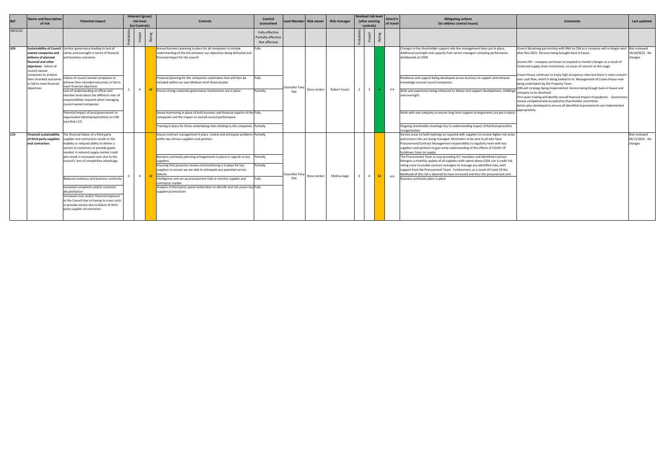|         | <b>Name and Description</b>                                                                                   |                                                                                                                                                                                                                                                                                                            | Inherent (gross) |                 |                                                                                                                                                                                                                                                                                                                                                                      | Control                                                 |                                 |              |                     | <b>Residual risk level</b> |                 | Direct'n          | <b>Mitigating actions</b>                                                                                                                                                                                                                                                                                                                                                                                                                                                                                                                                                                                                                                                                                        |                                                                                                                                                                                                                                                                                                                   |                                             |
|---------|---------------------------------------------------------------------------------------------------------------|------------------------------------------------------------------------------------------------------------------------------------------------------------------------------------------------------------------------------------------------------------------------------------------------------------|------------------|-----------------|----------------------------------------------------------------------------------------------------------------------------------------------------------------------------------------------------------------------------------------------------------------------------------------------------------------------------------------------------------------------|---------------------------------------------------------|---------------------------------|--------------|---------------------|----------------------------|-----------------|-------------------|------------------------------------------------------------------------------------------------------------------------------------------------------------------------------------------------------------------------------------------------------------------------------------------------------------------------------------------------------------------------------------------------------------------------------------------------------------------------------------------------------------------------------------------------------------------------------------------------------------------------------------------------------------------------------------------------------------------|-------------------------------------------------------------------------------------------------------------------------------------------------------------------------------------------------------------------------------------------------------------------------------------------------------------------|---------------------------------------------|
| Ref     | of risk                                                                                                       | <b>Potential impact</b>                                                                                                                                                                                                                                                                                    | risk level       |                 | <b>Controls</b>                                                                                                                                                                                                                                                                                                                                                      | assessment                                              | Lead Member Risk owner          |              | <b>Risk manager</b> | (after existing            |                 | of travel         | (to address control issues)                                                                                                                                                                                                                                                                                                                                                                                                                                                                                                                                                                                                                                                                                      | Comments                                                                                                                                                                                                                                                                                                          | Last updated                                |
|         |                                                                                                               |                                                                                                                                                                                                                                                                                                            | (no Controls)    |                 |                                                                                                                                                                                                                                                                                                                                                                      |                                                         |                                 |              |                     | controls)                  |                 |                   |                                                                                                                                                                                                                                                                                                                                                                                                                                                                                                                                                                                                                                                                                                                  |                                                                                                                                                                                                                                                                                                                   |                                             |
| 2021/22 |                                                                                                               |                                                                                                                                                                                                                                                                                                            |                  |                 |                                                                                                                                                                                                                                                                                                                                                                      | Fully effective<br>Partially effective<br>Not effective |                                 |              |                     |                            | R <sub>a</sub>  |                   |                                                                                                                                                                                                                                                                                                                                                                                                                                                                                                                                                                                                                                                                                                                  |                                                                                                                                                                                                                                                                                                                   |                                             |
| L09-    | owned companies and<br>delivery of planned<br>financial and other<br>objectives - failure of<br>council owned | Sustainability of Council Unclear governance leading to lack of<br>clarity and oversight in terms of financial<br>and business outcomes                                                                                                                                                                    |                  |                 | Annual business planning in place for all companies to include<br>understanding of the link between our objectives being delivered and<br>financial impact for the council                                                                                                                                                                                           | Fully                                                   |                                 |              |                     |                            |                 |                   | Changes in the shareholder support side line management been put in place.<br>Additional oversight and capacity from senior managers including performance<br>dashboards at CEDR.                                                                                                                                                                                                                                                                                                                                                                                                                                                                                                                                | Council dissolving partnership with SNH so CSN as a company will no longer exist Risk reviewed<br>after Nov 2021. Services being brought back in house.<br>Graven Hill – company continues to respond to market changes as a result of<br>Covid and supply chain restrictions, no areas of concern at this stage. | 13/10/2021 - No<br>changes                  |
|         | companies to achieve<br>their intended outcome<br>or fail to meet financial<br>objectives                     | Failure of council owned companies to<br>achieve their intended outcomes or fail to<br>meet financial objectives                                                                                                                                                                                           | 4                | 12 <sub>1</sub> | Financial planning for the companies undertaken that will then be<br>included within our own Medium term financial plan                                                                                                                                                                                                                                              | Fully                                                   | Councillor Ton                  | Steve Jorden | Robert Fusezi       | $\mathbf{3}$               | -6              | $\leftrightarrow$ | Resilience and support being developed across business to support and enhance<br>knowledge around council companies.                                                                                                                                                                                                                                                                                                                                                                                                                                                                                                                                                                                             | Crown House continues to enjoy high occupancy rates but there is some concern<br>over cash flow, which is being looked in to. Management of Crown House now<br>being undertaken by the Property Team.<br>CSN exit strategy being implemented. Service being brough back in house and                              |                                             |
|         |                                                                                                               | Lack of understanding at officer and<br>member level about the different roles of<br>esponsibilities required when managing<br>council owned companies                                                                                                                                                     |                  |                 | Ensure strong corporate governance mechanisms are in place                                                                                                                                                                                                                                                                                                           | Partially                                               | Illot                           |              |                     |                            |                 |                   | Skills and experience being enhanced to deliver and support development, challenge<br>and oversight.                                                                                                                                                                                                                                                                                                                                                                                                                                                                                                                                                                                                             | company to be dissolved.<br>First years trading will identify overall financial impact of pandemic. Governance<br>review completed and accepted by Shareholder committee.<br>Action plan developed to ensure all identified improvements are implemented<br>appropriately.                                        |                                             |
|         |                                                                                                               | Potential impact of local government re-<br>organisation (Northamptonshire) on CSN<br>(see Risk L17)                                                                                                                                                                                                       |                  |                 | Sound monitoring in place of both business and financial aspects of the Fully<br>companies and the impact on overall council performance<br>Training in place for those undertaking roles relating to the companies Partially                                                                                                                                        |                                                         |                                 |              |                     |                            |                 |                   | Work with one company to ensure long term support arrangements are put in place.<br>Ongoing shareholder meetings key to understanding impact of Northamptonshire                                                                                                                                                                                                                                                                                                                                                                                                                                                                                                                                                 |                                                                                                                                                                                                                                                                                                                   |                                             |
| L10-    | <b>Financial sustainability</b><br>of third-party suppliers<br>and contractors                                | The financial failure of a third party<br>supplier and contractors results in the<br>inability or reduced ability to deliver a<br>service to customers or provide goods<br>needed. A reduced supply market could<br>also result in increased costs due to the<br>council's' loss of competitive advantage. |                  |                 | Ensure contract management in place review and anticipate problems Partially<br>within key service suppliers and partners<br>Business continuity planning arrangements in place in regards to key Partially<br>suppliers<br>Ensuring that proactive review and monitoring is in place for key<br>suppliers to ensure we are able to anticipate any potential service | Partially                                               |                                 |              |                     |                            |                 |                   | reorganisation<br>Service areas to hold meetings as required with suppliers to review higher risk areas<br>and ensure risks are being managed. Reminders to be sent to all who have<br>Procurement/Contract Management responsibility to regularly meet with key<br>suppliers and partners to gain early understanding of the effects of COVID-19<br>lockdown, have on supply.<br>The Procurement Team is now providing ELT members and identified Contract<br>Mangers a monthly update of all suppliers with spend above £25k c/w a credit risk<br>rating score to enable contract managers to manage any identified risks, with<br>support from the Procurement Team. Furthermore, as a result of Covid-19 the |                                                                                                                                                                                                                                                                                                                   | Risk reviewed<br>04/11/2021 - No<br>changes |
|         |                                                                                                               | Reduced resilience and business continuity<br>ncreased complaints and/or customer<br>dissatisfaction<br>Increased costs and/or financial exposure<br>to the Council due to having to cover costs<br>or provide service due to failure of third<br>party supplier of contractor                             | $\overline{4}$   | 12              | failures<br>Intelligence unit set up procurement Hub to monitor supplier and<br>contractor market<br>Analysis of third party spend undertaken to identify and risk assess key Fully<br>suppliers/contractors                                                                                                                                                         | Fully                                                   | <b>Councillor Tony</b><br>Illot | Steve Jorden | Melissa Sage        |                            | 12 <sup>7</sup> | $\leftrightarrow$ | likelihood of this risk is deemed to have increased and thus the procurement and<br>Business continuity plans in place                                                                                                                                                                                                                                                                                                                                                                                                                                                                                                                                                                                           |                                                                                                                                                                                                                                                                                                                   |                                             |
|         |                                                                                                               |                                                                                                                                                                                                                                                                                                            |                  |                 |                                                                                                                                                                                                                                                                                                                                                                      |                                                         |                                 |              |                     |                            |                 |                   |                                                                                                                                                                                                                                                                                                                                                                                                                                                                                                                                                                                                                                                                                                                  |                                                                                                                                                                                                                                                                                                                   |                                             |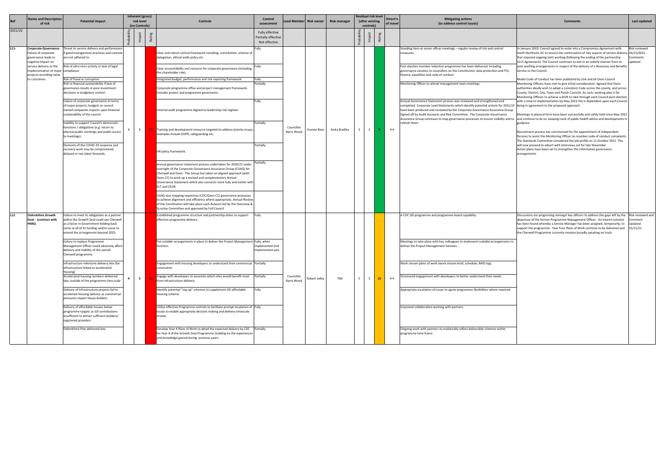|         | <b>Name and Description</b><br>of risk                                                           | <b>Potential impact</b>                                                                                                                                                                                                  | <b>Inherent (gross)</b><br>risk level | Controls                                                                                                                                                                                                                                                                                                                                                    | Control<br>assessment                                   | ead Member               | <b>Risk owner</b> | <b>Risk manager</b> |   | Residual risk level<br>(after existing     | Direct'n<br>of travel | <b>Mitigating actions</b><br>(to address control issues)                                                                                                                                                                                                                                                                                                                                                                                                                                                                                   | <b>Comments</b>                                                                                                                                                                                                                                                                                                                                                                                                  | Last updated                                        |
|---------|--------------------------------------------------------------------------------------------------|--------------------------------------------------------------------------------------------------------------------------------------------------------------------------------------------------------------------------|---------------------------------------|-------------------------------------------------------------------------------------------------------------------------------------------------------------------------------------------------------------------------------------------------------------------------------------------------------------------------------------------------------------|---------------------------------------------------------|--------------------------|-------------------|---------------------|---|--------------------------------------------|-----------------------|--------------------------------------------------------------------------------------------------------------------------------------------------------------------------------------------------------------------------------------------------------------------------------------------------------------------------------------------------------------------------------------------------------------------------------------------------------------------------------------------------------------------------------------------|------------------------------------------------------------------------------------------------------------------------------------------------------------------------------------------------------------------------------------------------------------------------------------------------------------------------------------------------------------------------------------------------------------------|-----------------------------------------------------|
| 2021/22 |                                                                                                  |                                                                                                                                                                                                                          | (no Controls)                         |                                                                                                                                                                                                                                                                                                                                                             | Fully effective<br>Partially effective<br>Not effective |                          |                   |                     |   | controls)<br>- 22                          |                       |                                                                                                                                                                                                                                                                                                                                                                                                                                                                                                                                            |                                                                                                                                                                                                                                                                                                                                                                                                                  |                                                     |
| $L11-$  | <b>Corporate Governance</b><br>Failure of corporate<br>governance leads to<br>negative impact on | hreat to service delivery and performance<br>f good management practices and controls<br>are not adhered to.                                                                                                             |                                       | Clear and robust control framework including: constitution, scheme of<br>delegation, ethical walls policy etc.                                                                                                                                                                                                                                              | Fully                                                   |                          |                   |                     |   |                                            |                       | Standing item at senior officer meetings - regular review of risk and control<br>measures.                                                                                                                                                                                                                                                                                                                                                                                                                                                 | In January 2019, Council agreed to enter into a Compromise Agreement with<br>South Northants DC to ensure the continuation of key aspects of service delivery 16/11/2021 -<br>that required ongoing joint working (following the ending of the partnership<br>S113 Agreement). The Council continues to exit in an orderly manner from its                                                                       | Risk reviewed<br>Comments<br>updated                |
|         | service delivery or the<br>mplementation of major<br>projects providing value                    | Risk of ultra vires activity or lack of legal<br>compliance                                                                                                                                                              |                                       | Clear accountability and resource for corporate governance (including<br>the shareholder role).                                                                                                                                                                                                                                                             |                                                         |                          |                   |                     |   |                                            |                       | Post election member induction programme has been delivered, including<br>governance sessions to councillors on the Constitution, data protection and FOI,<br>finance, equalities and code of conduct.                                                                                                                                                                                                                                                                                                                                     | joint working arrangements in respect of the delivery of a Revenues and Benefits<br>Service to the Council.                                                                                                                                                                                                                                                                                                      |                                                     |
|         | to customers.                                                                                    | Risk of fraud or corruption<br>Risk to financial sustainability if lack of<br>governance results in poor investment<br>decisions or budgetary control.                                                                   |                                       | Integrated budget, performance and risk reporting framework.<br>Corporate programme office and project management framework.<br>Includes project and programme governance.                                                                                                                                                                                  | Fully<br>Partially                                      |                          |                   |                     |   |                                            |                       | Monitoring Officer to attend management team meetings.                                                                                                                                                                                                                                                                                                                                                                                                                                                                                     | Model Code of Conduct has been published by LGA and all Oxon Council<br>Monitoring Officers have met to give initial consideration. Agreed that Oxon<br>authorities ideally wish to adopt a consistent Code across the county, and across<br>County, District, City, Town and Parish Councils. As such, working plan is for<br>Monitoring Officers to achieve a draft to take through each Council post-election |                                                     |
|         |                                                                                                  | Failure of corporate governance in terms<br>of major projects, budgets or council<br>owned companies impacts upon financial<br>sustainability of the council.                                                            |                                       | Internal audit programme aligned to leadership risk register.                                                                                                                                                                                                                                                                                               | Fully                                                   |                          |                   |                     |   |                                            |                       | Annual Governance Statement process was reviewed and strengthened and<br>completed. Corporate Lead Statements which identify potential actions for 2021/22 being in agreement to the proposed approach.<br>have been produced and reviewed by the Corporate Governance Assurance Group.<br>Signed off by Audit Accounts and Risk Committee. The Corporate Governance<br>Assurance Group continues to map governance processes to ensure visibility and to and continue to do so, keeping track of public health advice and developments in | with a view to implementation by May 2022 this is dependent upon each Council<br>Meetings in physical form have been successfully and safely held since May 2021                                                                                                                                                                                                                                                 |                                                     |
|         |                                                                                                  | Inability to support Council's democratic<br>functions / obligations (e.g. return to<br>physical public meetings and public access<br>to meetings).                                                                      | $4 \Box$                              | 16 Training and development resource targeted to address priority issues<br>examples include GDPR, safeguarding etc.                                                                                                                                                                                                                                        | Partially                                               | Councillor<br>Barry Wood | Yvonne Rees       | Anita Bradley       |   | 3 <sup>1</sup>                             | $\leftrightarrow$     | refresh them.                                                                                                                                                                                                                                                                                                                                                                                                                                                                                                                              | guidance.<br>Recruitment process has commenced for the appointment of Independent<br>Persons to assist the Monitoring Officer on member code of conduct complaints<br>The Standards Committee considered the job profile on 11 October 2021. This                                                                                                                                                                |                                                     |
|         |                                                                                                  | Elements of the COVID-19 response and<br>recovery work may be compromised,<br>delayed or not taken forwards.                                                                                                             |                                       | HR policy framework.                                                                                                                                                                                                                                                                                                                                        | Partially                                               |                          |                   |                     |   |                                            |                       |                                                                                                                                                                                                                                                                                                                                                                                                                                                                                                                                            | will now proceed to advert with interviews set for late November.<br>Action plans have been set to strengthen the information governance<br>arrangements                                                                                                                                                                                                                                                         |                                                     |
|         |                                                                                                  |                                                                                                                                                                                                                          |                                       | Annual governance statement process undertaken for 2020/21 under<br>oversight of the Corporate Governance Assurance Group (CGAG) for<br>Cherwell and Oxon. The Group has taken an aligned approach (with<br>Oxon CC) to work up a revised and complementary Annual<br>Governance Statement which also connects more fully and earlier with<br>ELT and CEDR. | Partially                                               |                          |                   |                     |   |                                            |                       |                                                                                                                                                                                                                                                                                                                                                                                                                                                                                                                                            |                                                                                                                                                                                                                                                                                                                                                                                                                  |                                                     |
|         |                                                                                                  |                                                                                                                                                                                                                          |                                       | CGAG also mapping respective (CDC/Oxon CC) governance processes<br>to achieve alignment and efficiency where appropriate. Annual Review<br>of the Constitution will take place each Autumn led by the Overview &<br>Scrutiny Committee and approved by Full Council                                                                                         |                                                         |                          |                   |                     |   |                                            |                       |                                                                                                                                                                                                                                                                                                                                                                                                                                                                                                                                            |                                                                                                                                                                                                                                                                                                                                                                                                                  |                                                     |
| L12     | <b>Oxfordshire Growth</b><br>Deal - (contract with<br>HMG)                                       | Failure to meet its obligations as a partner<br>within the Growth Deal could see Cherwell<br>as a factor in Government holding back<br>some or all of its funding and/or cease to<br>extend the arrangement beyond 2023. |                                       | Established programme structure and partnership ethos to support<br>effective programme delivery.                                                                                                                                                                                                                                                           | Fully                                                   |                          |                   |                     |   |                                            |                       | A CDC GD programme and programme board capability.                                                                                                                                                                                                                                                                                                                                                                                                                                                                                         | Discussions are progressing amongst key officers to address the gaps left by the<br>departure of the former Programme Management Officer. An interim solution<br>has been found whereby a Service Manager has been assigned, temporarily, to<br>support the programme. Year Four Plans of Work continue to be delivered and<br>the Cherwell Programme currently remains broadly speaking on track.               | Risk reviewed ar<br>Comment<br>Updated<br>15/11/21. |
|         |                                                                                                  | Failure to replace Programme<br>Management Officer could adversely affect<br>delivery and stability of the overall<br>Cherwell programme.                                                                                |                                       | Put suitable arrangements in place to deliver the Project Management Fully, when<br>function.                                                                                                                                                                                                                                                               | mplemented (not<br>mplemented yet).                     |                          |                   |                     |   |                                            |                       | Meetings to take place with key colleagues to implement suitable arrangements to<br>deliver the Project Management function.                                                                                                                                                                                                                                                                                                                                                                                                               |                                                                                                                                                                                                                                                                                                                                                                                                                  |                                                     |
|         |                                                                                                  | Infrastructure milestone delivery late (for<br>infrastructure linked to accelerated<br>housing)                                                                                                                          |                                       | Engagement with housing developers to understand their commercial Partially<br>constraints.                                                                                                                                                                                                                                                                 |                                                         |                          |                   |                     |   |                                            |                       | Work stream plans of work (work stream brief, schedule, RAID log)                                                                                                                                                                                                                                                                                                                                                                                                                                                                          |                                                                                                                                                                                                                                                                                                                                                                                                                  |                                                     |
|         |                                                                                                  | Accelerated housing numbers delivered<br>late, outside of the programme time scale                                                                                                                                       | $5-1$                                 | Engage with developers to ascertain which sites would benefit most Partially<br>from infrastructure delivery.                                                                                                                                                                                                                                               |                                                         | Councillor<br>Barry Wood | Robert Jolley     | TBA                 | 5 | $\overline{\mathbf{3}}$<br>15 <sub>1</sub> | $\leftrightarrow$     | Structured engagement with developers to better understand their needs.                                                                                                                                                                                                                                                                                                                                                                                                                                                                    |                                                                                                                                                                                                                                                                                                                                                                                                                  |                                                     |
|         |                                                                                                  | Delivery of Infrastructure projects fail to<br>accelerate housing delivery as commercial<br>pressures impact house builders                                                                                              |                                       | Identify potential "top up" schemes to supplement GD affordable<br>housing scheme.                                                                                                                                                                                                                                                                          | Fully                                                   |                          |                   |                     |   |                                            |                       | Appropriate escalation of issues to agree programme flexibilities where required.                                                                                                                                                                                                                                                                                                                                                                                                                                                          |                                                                                                                                                                                                                                                                                                                                                                                                                  |                                                     |
|         |                                                                                                  | Delivery of affordable houses below<br>programme targets as GD contributions<br>insufficient to attract sufficient builders/<br>egistered providers                                                                      |                                       | Utilise effective Programme controls to facilitate prompt escalation of Fully<br>issues to enable appropriate decision making and delivery timescale<br>review.                                                                                                                                                                                             |                                                         |                          |                   |                     |   |                                            |                       | Improved collaboration working with partners.                                                                                                                                                                                                                                                                                                                                                                                                                                                                                              |                                                                                                                                                                                                                                                                                                                                                                                                                  |                                                     |
|         |                                                                                                  | Oxfordshire Plan delivered late                                                                                                                                                                                          |                                       | Develop Year 4 Plans of Work to detail the expected delivery by CDC Partially<br>for Year 4 of the Growth Deal Programme; building on the experiences<br>and knowledge gained during previous years.                                                                                                                                                        |                                                         |                          |                   |                     |   |                                            |                       | Ongoing work with partners to realistically reflect deliverable schemes within<br>programme time frame.                                                                                                                                                                                                                                                                                                                                                                                                                                    |                                                                                                                                                                                                                                                                                                                                                                                                                  |                                                     |

| <b>Mitigating actions</b><br>(to address control issues)                                                                                                                                                                                                                                                                  | <b>Comments</b>                                                                                                                                                                                                                                                                                                                                                                                                                                                                                                                                                                                                                                                                                                                                                                                                                                                                                                                                                                                                | Last updated                                         |
|---------------------------------------------------------------------------------------------------------------------------------------------------------------------------------------------------------------------------------------------------------------------------------------------------------------------------|----------------------------------------------------------------------------------------------------------------------------------------------------------------------------------------------------------------------------------------------------------------------------------------------------------------------------------------------------------------------------------------------------------------------------------------------------------------------------------------------------------------------------------------------------------------------------------------------------------------------------------------------------------------------------------------------------------------------------------------------------------------------------------------------------------------------------------------------------------------------------------------------------------------------------------------------------------------------------------------------------------------|------------------------------------------------------|
|                                                                                                                                                                                                                                                                                                                           |                                                                                                                                                                                                                                                                                                                                                                                                                                                                                                                                                                                                                                                                                                                                                                                                                                                                                                                                                                                                                |                                                      |
| cer meetings - regular review of risk and control<br>ction programme has been delivered, including<br>incillors on the Constitution, data protection and FOI,<br>e of conduct.<br>d management team meetings.<br>ent process was reviewed and strengthened and<br>Statements which identify potential actions for 2021/22 | In January 2019, Council agreed to enter into a Compromise Agreement with<br>South Northants DC to ensure the continuation of key aspects of service delivery 16/11/2021 -<br>that required ongoing joint working (following the ending of the partnership<br>S113 Agreement). The Council continues to exit in an orderly manner from its<br>joint working arrangements in respect of the delivery of a Revenues and Benefits<br>Service to the Council.<br>Model Code of Conduct has been published by LGA and all Oxon Council<br>Monitoring Officers have met to give initial consideration. Agreed that Oxon<br>authorities ideally wish to adopt a consistent Code across the county, and across<br>County, District, City, Town and Parish Councils. As such, working plan is for<br>Monitoring Officers to achieve a draft to take through each Council post-election<br>with a view to implementation by May 2022 this is dependent upon each Council<br>being in agreement to the proposed approach. | Risk reviewed<br>Comments<br>updated                 |
| viewed by the Corporate Governance Assurance Group.<br>ts and Risk Committee. The Corporate Governance<br>to map governance processes to ensure visibility and to                                                                                                                                                         | Meetings in physical form have been successfully and safely held since May 2021<br>and continue to do so, keeping track of public health advice and developments in<br>guidance.                                                                                                                                                                                                                                                                                                                                                                                                                                                                                                                                                                                                                                                                                                                                                                                                                               |                                                      |
|                                                                                                                                                                                                                                                                                                                           | Recruitment process has commenced for the appointment of Independent<br>Persons to assist the Monitoring Officer on member code of conduct complaints.<br>The Standards Committee considered the job profile on 11 October 2021. This<br>will now proceed to advert with interviews set for late November.<br>Action plans have been set to strengthen the information governance<br>arrangements                                                                                                                                                                                                                                                                                                                                                                                                                                                                                                                                                                                                              |                                                      |
|                                                                                                                                                                                                                                                                                                                           |                                                                                                                                                                                                                                                                                                                                                                                                                                                                                                                                                                                                                                                                                                                                                                                                                                                                                                                                                                                                                |                                                      |
|                                                                                                                                                                                                                                                                                                                           |                                                                                                                                                                                                                                                                                                                                                                                                                                                                                                                                                                                                                                                                                                                                                                                                                                                                                                                                                                                                                |                                                      |
| programme board capability.                                                                                                                                                                                                                                                                                               | Discussions are progressing amongst key officers to address the gaps left by the<br>departure of the former Programme Management Officer. An interim solution<br>has been found whereby a Service Manager has been assigned, temporarily, to<br>support the programme. Year Four Plans of Work continue to be delivered and<br>the Cherwell Programme currently remains broadly speaking on track.                                                                                                                                                                                                                                                                                                                                                                                                                                                                                                                                                                                                             | Risk reviewed and<br>Comment<br>Updated<br>15/11/21. |
| h key colleagues to implement suitable arrangements to<br>ment function.                                                                                                                                                                                                                                                  |                                                                                                                                                                                                                                                                                                                                                                                                                                                                                                                                                                                                                                                                                                                                                                                                                                                                                                                                                                                                                |                                                      |
| (work stream brief, schedule, RAID log).                                                                                                                                                                                                                                                                                  |                                                                                                                                                                                                                                                                                                                                                                                                                                                                                                                                                                                                                                                                                                                                                                                                                                                                                                                                                                                                                |                                                      |
| th developers to better understand their needs.                                                                                                                                                                                                                                                                           |                                                                                                                                                                                                                                                                                                                                                                                                                                                                                                                                                                                                                                                                                                                                                                                                                                                                                                                                                                                                                |                                                      |
| sues to agree programme flexibilities where required.                                                                                                                                                                                                                                                                     |                                                                                                                                                                                                                                                                                                                                                                                                                                                                                                                                                                                                                                                                                                                                                                                                                                                                                                                                                                                                                |                                                      |
| rking with partners.                                                                                                                                                                                                                                                                                                      |                                                                                                                                                                                                                                                                                                                                                                                                                                                                                                                                                                                                                                                                                                                                                                                                                                                                                                                                                                                                                |                                                      |
| s to realistically reflect deliverable schemes within                                                                                                                                                                                                                                                                     |                                                                                                                                                                                                                                                                                                                                                                                                                                                                                                                                                                                                                                                                                                                                                                                                                                                                                                                                                                                                                |                                                      |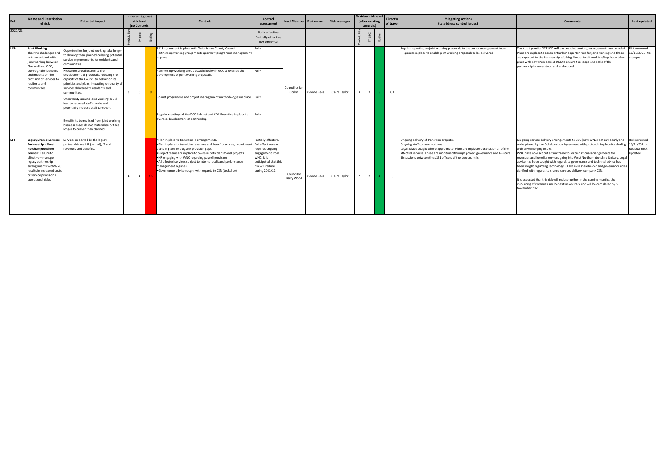| <b>Mitigating actions</b><br>(to address control issues)                                                                                                                                                                                                                                                          | <b>Comments</b>                                                                                                                                                                                                                                                                                                                                                                                                                                                                                                                                                                                                                                                                                                                                                        | Last updated                                                        |
|-------------------------------------------------------------------------------------------------------------------------------------------------------------------------------------------------------------------------------------------------------------------------------------------------------------------|------------------------------------------------------------------------------------------------------------------------------------------------------------------------------------------------------------------------------------------------------------------------------------------------------------------------------------------------------------------------------------------------------------------------------------------------------------------------------------------------------------------------------------------------------------------------------------------------------------------------------------------------------------------------------------------------------------------------------------------------------------------------|---------------------------------------------------------------------|
|                                                                                                                                                                                                                                                                                                                   |                                                                                                                                                                                                                                                                                                                                                                                                                                                                                                                                                                                                                                                                                                                                                                        |                                                                     |
| Regular reporting on joint working proposals to the senior management team.<br>HR polices in place to enable joint working proposals to be delivered                                                                                                                                                              | The Audit plan for 2021/22 will ensure joint working arrangements are included.<br>Plans are in place to consider further opportunities for joint working and these<br>are reported to the Partnership Working Group. Additional briefings have taken<br>place with new Members at OCC to ensure the scope and scale of the<br>partnership is understood and embedded.                                                                                                                                                                                                                                                                                                                                                                                                 | Risk reviewed<br>16/11/2021 -No<br>changes                          |
| Ongoing delivery of transition projects.<br>Ongoing staff communications.<br>Legal advice sought where appropriate. Plans are in place to transition all of the<br>affected services. These are monitored through project governance and bi-lateral<br>discussions between the s151 officers of the two councils. | On-going service delivery arrangements to SNC (now WNC) set out clearly and<br>underpinned by the Collaboration Agreement with protocols in place for dealing<br>with any emerging issues.<br>WNC have now set out a timeframe for or transitional arrangements for<br>revenues and benefits services going into West Northamptonshire Unitary. Legal<br>advice has been sought with regards to governance and technical advice has<br>been sought regarding technology. CEDR level shareholder and governance roles<br>clarified with regards to shared services delivery company CSN.<br>It is expected that this risk will reduce further in the coming months, the<br>insourcing of revenues and benefits is on track and will be completed by 5<br>November 2021. | Risk reviewed<br>$16/11/2021 -$<br><b>Residual Riisk</b><br>Updated |

| Ref     | Name and Description<br>of risk                                                                                                                                                                                                                   | <b>Potential impact</b>                                                                                                                                                                                                       |                | risk level     | Inherent (gross) | <b>Controls</b>                                                                                                                                                                                                                                                                                                                                                                                                                                                  | Control<br>assessment                                                                                                                                                 |                          | ead Memberl Risk owner. | <b>Risk manager</b> | <b>Residual risk level</b><br>(after existing |                         | Direct'n<br>of travel | <b>Mitigating actions</b><br>(to address control issues) | Comments                                                                                                                                                                                                                                                                                                          | Last updated                                                                                                                                                                                                                                                                                                                                                                                                                                                                                                                                                                                                                                                                                                                                                                        |                                                   |
|---------|---------------------------------------------------------------------------------------------------------------------------------------------------------------------------------------------------------------------------------------------------|-------------------------------------------------------------------------------------------------------------------------------------------------------------------------------------------------------------------------------|----------------|----------------|------------------|------------------------------------------------------------------------------------------------------------------------------------------------------------------------------------------------------------------------------------------------------------------------------------------------------------------------------------------------------------------------------------------------------------------------------------------------------------------|-----------------------------------------------------------------------------------------------------------------------------------------------------------------------|--------------------------|-------------------------|---------------------|-----------------------------------------------|-------------------------|-----------------------|----------------------------------------------------------|-------------------------------------------------------------------------------------------------------------------------------------------------------------------------------------------------------------------------------------------------------------------------------------------------------------------|-------------------------------------------------------------------------------------------------------------------------------------------------------------------------------------------------------------------------------------------------------------------------------------------------------------------------------------------------------------------------------------------------------------------------------------------------------------------------------------------------------------------------------------------------------------------------------------------------------------------------------------------------------------------------------------------------------------------------------------------------------------------------------------|---------------------------------------------------|
| 2021/22 |                                                                                                                                                                                                                                                   |                                                                                                                                                                                                                               |                | (no Controls)  | R.               |                                                                                                                                                                                                                                                                                                                                                                                                                                                                  | Fully effective<br>Partially effective<br>Not effective                                                                                                               |                          |                         |                     |                                               | controls)               | <b>Ra</b>             |                                                          |                                                                                                                                                                                                                                                                                                                   |                                                                                                                                                                                                                                                                                                                                                                                                                                                                                                                                                                                                                                                                                                                                                                                     |                                                   |
| $L13-$  | <b>Joint Working</b><br>That the challenges and<br>risks associated with<br>joint working between<br>Cherwell and OCC,                                                                                                                            | Opportunities for joint working take longer<br>o develop than planned delaying potentia<br>service improvements for residents and<br>communities.                                                                             | $\mathbf{R}$   |                |                  | S113 agreement in place with Oxfordshire County Council<br>Partnership working group meets quarterly programme management<br>in place.                                                                                                                                                                                                                                                                                                                           | Fully                                                                                                                                                                 |                          |                         |                     |                                               |                         |                       |                                                          | Regular reporting on joint working proposals to the senior management team.<br>HR polices in place to enable joint working proposals to be delivered                                                                                                                                                              | The Audit plan for 2021/22 will ensure joint working arrangements are included.<br>Plans are in place to consider further opportunities for joint working and these<br>are reported to the Partnership Working Group. Additional briefings have taken changes<br>place with new Members at OCC to ensure the scope and scale of the<br>partnership is understood and embedded.                                                                                                                                                                                                                                                                                                                                                                                                      | Risk reviewed<br>16/11/2021-No                    |
|         | outweigh the benefits<br>and impacts on the<br>provision of services to<br>residents and<br>communities.                                                                                                                                          | Resources are allocated to the<br>development of proposals, reducing the<br>capacity of the Council to deliver on its<br>priorities and plans, impacting on quality of<br>services delivered to residents and<br>communities. |                | $3^{\circ}$    |                  | Partnership Working Group established with OCC to oversee the<br>development of joint working proposals.                                                                                                                                                                                                                                                                                                                                                         | Fully                                                                                                                                                                 | Councillor Ian<br>Corkin | Yvonne Rees             | Claire Taylor       |                                               | $\overline{\mathbf{3}}$ |                       | $\leftrightarrow$                                        |                                                                                                                                                                                                                                                                                                                   |                                                                                                                                                                                                                                                                                                                                                                                                                                                                                                                                                                                                                                                                                                                                                                                     |                                                   |
|         |                                                                                                                                                                                                                                                   | Uncertainty around joint working could<br>lead to reduced staff morale and<br>potentially increase staff turnover.                                                                                                            |                |                |                  | Robust programme and project management methodologies in place. Fully                                                                                                                                                                                                                                                                                                                                                                                            | Fully                                                                                                                                                                 |                          |                         |                     |                                               |                         |                       |                                                          |                                                                                                                                                                                                                                                                                                                   |                                                                                                                                                                                                                                                                                                                                                                                                                                                                                                                                                                                                                                                                                                                                                                                     |                                                   |
|         |                                                                                                                                                                                                                                                   | Benefits to be realised from joint working<br>business cases do not materialise or take<br>longer to deliver than planned.                                                                                                    |                |                |                  | Regular meetings of the OCC Cabinet and CDC Executive in place to<br>oversee development of partnership.                                                                                                                                                                                                                                                                                                                                                         |                                                                                                                                                                       |                          |                         |                     |                                               |                         |                       |                                                          |                                                                                                                                                                                                                                                                                                                   |                                                                                                                                                                                                                                                                                                                                                                                                                                                                                                                                                                                                                                                                                                                                                                                     |                                                   |
| $L14-$  | <b>Legacy Shared Services</b><br>Partnership - West<br>Northamptonshire<br>Council: Failure to<br>effectively manage<br>legacy partnership<br>arrangements with WNO<br>results in increased cost:<br>or service provision /<br>operational risks. | Services impacted by the legacy<br>partnership are HR (payroll), IT and<br>revenues and benefits.                                                                                                                             | $\overline{a}$ | $\overline{4}$ |                  | . Plan in place to transition IT arrangements.<br>. Plan in place to transition revenues and benefits service, recruitment<br>plans in place to plug any provision gaps.<br>. Project teams are in place to oversee both transitional projects.<br>. HR engaging with WNC regarding payroll provision.<br>. All affected services subject to internal audit and performance<br>management regimes.<br>• Governance advice sought with regards to CSN (teckal co) | Partially effective.<br><b>Full effectiveness</b><br>requires ongoing<br>engagement from<br>WNC. It is<br>anticipated that this<br>risk will reduce<br>during 2021/22 | Councillor<br>Barry Wood | <b>Yvonne Rees</b>      | Claire Taylor       |                                               | 2                       |                       | ↓                                                        | Ongoing delivery of transition projects.<br>Ongoing staff communications.<br>Legal advice sought where appropriate. Plans are in place to transition all of the<br>affected services. These are monitored through project governance and bi-lateral<br>discussions between the s151 officers of the two councils. | On-going service delivery arrangements to SNC (now WNC) set out clearly and<br>underpinned by the Collaboration Agreement with protocols in place for dealing 16/11/2021 -<br>with any emerging issues.<br>WNC have now set out a timeframe for or transitional arrangements for<br>revenues and benefits services going into West Northamptonshire Unitary. Legal<br>advice has been sought with regards to governance and technical advice has<br>been sought regarding technology. CEDR level shareholder and governance roles<br>clarified with regards to shared services delivery company CSN.<br>It is expected that this risk will reduce further in the coming months, the<br>insourcing of revenues and benefits is on track and will be completed by 5<br>November 2021. | Risk reviewed<br><b>Residual Riisk</b><br>Updated |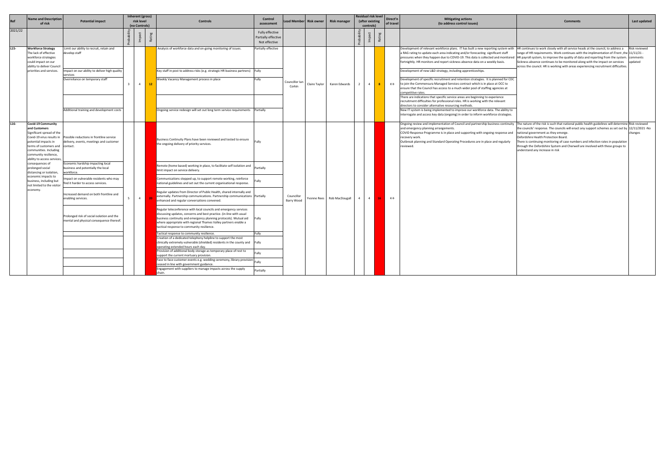| Ref     | <b>Name and Description</b><br>of risk                                                                                                                                                                                                  | <b>Potential impact</b>                                                                         | Inherent (gross)<br>risk level<br>(no Controls) |             | <b>Controls</b>                                                                                                                                                                                                                                                                                                                | Control<br>assessment                                   | Lead Member Risk owner                    |               | Risk manager   |                | Residual risk level<br>(after existing<br>controls) |                                                                                                                                                                                                                                                                                                                                                                                                                                | Direct'n<br>of trave                                                                                                                                                                                                                                                                                                                                                                    | <b>Mitigating actions</b><br>(to address control issues)                                                                                                                                                                                                                                                                                                                                                                                                                                                      | Comments                                                                                                                                                                                                                                                          | Last updated                         |
|---------|-----------------------------------------------------------------------------------------------------------------------------------------------------------------------------------------------------------------------------------------|-------------------------------------------------------------------------------------------------|-------------------------------------------------|-------------|--------------------------------------------------------------------------------------------------------------------------------------------------------------------------------------------------------------------------------------------------------------------------------------------------------------------------------|---------------------------------------------------------|-------------------------------------------|---------------|----------------|----------------|-----------------------------------------------------|--------------------------------------------------------------------------------------------------------------------------------------------------------------------------------------------------------------------------------------------------------------------------------------------------------------------------------------------------------------------------------------------------------------------------------|-----------------------------------------------------------------------------------------------------------------------------------------------------------------------------------------------------------------------------------------------------------------------------------------------------------------------------------------------------------------------------------------|---------------------------------------------------------------------------------------------------------------------------------------------------------------------------------------------------------------------------------------------------------------------------------------------------------------------------------------------------------------------------------------------------------------------------------------------------------------------------------------------------------------|-------------------------------------------------------------------------------------------------------------------------------------------------------------------------------------------------------------------------------------------------------------------|--------------------------------------|
| 2021/22 |                                                                                                                                                                                                                                         |                                                                                                 |                                                 |             |                                                                                                                                                                                                                                                                                                                                | Fully effective<br>Partially effective<br>Not effective |                                           |               |                |                |                                                     | Ra                                                                                                                                                                                                                                                                                                                                                                                                                             |                                                                                                                                                                                                                                                                                                                                                                                         |                                                                                                                                                                                                                                                                                                                                                                                                                                                                                                               |                                                                                                                                                                                                                                                                   |                                      |
| $L15-$  | <b>Workforce Strategy</b><br>The lack of effective<br>workforce strategies<br>could impact on our<br>ability to deliver Council                                                                                                         | Limit our ability to recruit, retain and<br>levelop staff                                       |                                                 |             | Analysis of workforce data and on-going monitoring of issues.                                                                                                                                                                                                                                                                  | Partially effective                                     |                                           |               |                |                |                                                     |                                                                                                                                                                                                                                                                                                                                                                                                                                |                                                                                                                                                                                                                                                                                                                                                                                         | Development of relevant workforce plans. IT has built a new reporting system with  HR continues to work closely with all service heads at the council, to address a<br>a RAG rating to update each area indicating and/or forecasting significant staff<br>pressures when they happen due to COVID-19. This data is collected and monitored  HR payroll system, to improve the quality of data and reporting from the system.<br>fortnightly. HR monitors and report sickness absence data on a weekly basis. | range of HR requirements. Work continues with the implimentation of iTrent, the 11/11/21 -<br>Sickness absence continues to be monitored along with the impact on services<br>across the council. HR is working with areas experiencing recruitment difficulties. | Risk reviewed<br>comments<br>updated |
|         | priorities and services.                                                                                                                                                                                                                | mpact on our ability to deliver high quality<br>services                                        |                                                 |             | Key staff in post to address risks (e.g. strategic HR business partners) Fully                                                                                                                                                                                                                                                 |                                                         |                                           |               |                |                |                                                     |                                                                                                                                                                                                                                                                                                                                                                                                                                |                                                                                                                                                                                                                                                                                                                                                                                         | Development of new L&D strategy, including apprenticeships.                                                                                                                                                                                                                                                                                                                                                                                                                                                   |                                                                                                                                                                                                                                                                   |                                      |
|         |                                                                                                                                                                                                                                         | Overreliance on temporary staff                                                                 | $\overline{4}$<br>$\overline{3}$                | 12          | Weekly Vacancy Management process in place                                                                                                                                                                                                                                                                                     | Fully                                                   | Councillor lar<br>Claire Taylor<br>Corkin | Karen Edwards |                |                | 8 <sup>1</sup>                                      | $\leftrightarrow$                                                                                                                                                                                                                                                                                                                                                                                                              | Development of specific recruitment and retention strategies. It is planned for CDC<br>to join the Commensura Managed Services contract which is in place at OCC to<br>ensure that the Council has access to a much wider pool of staffing agencies at<br>competitive rates.                                                                                                            |                                                                                                                                                                                                                                                                                                                                                                                                                                                                                                               |                                                                                                                                                                                                                                                                   |                                      |
|         |                                                                                                                                                                                                                                         | Additional training and development costs                                                       |                                                 |             | Ongoing service redesign will set out long term service requirements Partially                                                                                                                                                                                                                                                 |                                                         |                                           |               |                |                |                                                     | There are indications that specific service areas are beginning to experience<br>recruitment difficulties for professional roles. HR is working with the relevant<br>directors to consider alternative resourcing methods.<br>New IT system is being implemented to improve our workforce data. The ability to                                                                                                                 |                                                                                                                                                                                                                                                                                                                                                                                         |                                                                                                                                                                                                                                                                                                                                                                                                                                                                                                               |                                                                                                                                                                                                                                                                   |                                      |
|         |                                                                                                                                                                                                                                         |                                                                                                 |                                                 |             |                                                                                                                                                                                                                                                                                                                                |                                                         |                                           |               |                |                |                                                     |                                                                                                                                                                                                                                                                                                                                                                                                                                |                                                                                                                                                                                                                                                                                                                                                                                         | interrogate and access key data (ongoing) in order to inform workforce strategies.                                                                                                                                                                                                                                                                                                                                                                                                                            |                                                                                                                                                                                                                                                                   |                                      |
| L16-    | <b>Covid-19 Community</b><br>and Customers<br>Significant spread of the<br>Covid-19 virus results in<br>potential impacts in<br>terms of customers and<br>communities. Including<br>community resilience,<br>ability to access services | Possible reductions in frontline service<br>delivery, events, meetings and customer<br>contact. |                                                 |             | Business Continuity Plans have been reviewed and tested to ensure<br>the ongoing delivery of priority services.                                                                                                                                                                                                                | Fully<br>Partially                                      |                                           |               |                |                |                                                     | Ongoing review and implementation of Council and partnership business continuity  The nature of the risk is such that national public health guidelines will determine Risk reviewed<br>and emergency planning arrangements.<br>COVID Response Programme is in place and supporting with ongoing response and<br>recovery work.<br>Outbreak planning and Standard Operating Procedures are in place and regularly<br>reviewed. | the councils' response. The councils will enact any support schemes as set out by 12/11/2021 -No<br>national government as they emerge.<br>Oxfordshire Health Protection Board.<br>There is continuing monitoring of case numbers and infection rates in population<br>through the Oxfordshire System and Cherwell are involved with these groups to<br>understand any increase in risk | changes                                                                                                                                                                                                                                                                                                                                                                                                                                                                                                       |                                                                                                                                                                                                                                                                   |                                      |
|         | consequences of<br>prolonged social<br>distancing or isolation,                                                                                                                                                                         | Economic hardship impacting local<br>business and potentially the local<br>workforce.           |                                                 |             | Remote (home based) working in place, to facilitate self isolation and<br>limit impact on service delivery.                                                                                                                                                                                                                    |                                                         |                                           |               |                |                |                                                     |                                                                                                                                                                                                                                                                                                                                                                                                                                |                                                                                                                                                                                                                                                                                                                                                                                         |                                                                                                                                                                                                                                                                                                                                                                                                                                                                                                               |                                                                                                                                                                                                                                                                   |                                      |
|         | economic impacts to<br>business, including but<br>not limited to the visitor                                                                                                                                                            | npact on vulnerable residents who may<br>ind it harder to access services.                      |                                                 | $4 \square$ | Communications stepped up, to support remote working, reinforce<br>national guidelines and set out the current organisational response.                                                                                                                                                                                        |                                                         | Councillor<br>Barry Wood                  |               |                |                |                                                     |                                                                                                                                                                                                                                                                                                                                                                                                                                |                                                                                                                                                                                                                                                                                                                                                                                         |                                                                                                                                                                                                                                                                                                                                                                                                                                                                                                               |                                                                                                                                                                                                                                                                   |                                      |
|         | economy.                                                                                                                                                                                                                                | Increased demand on both frontline and<br>enabling services.                                    |                                                 |             | Regular updates from Director of Public Health, shared internally and<br>externally. Partnership communications. Partnership communications Partially<br>enhanced and regular conversations convened.                                                                                                                          |                                                         |                                           | Yvonne Rees   | Rob MacDougall | $\overline{4}$ | $\overline{a}$                                      |                                                                                                                                                                                                                                                                                                                                                                                                                                | $\leftrightarrow$                                                                                                                                                                                                                                                                                                                                                                       |                                                                                                                                                                                                                                                                                                                                                                                                                                                                                                               |                                                                                                                                                                                                                                                                   |                                      |
|         |                                                                                                                                                                                                                                         | Prolonged risk of social isolation and the<br>mental and physical consequence thereof.          |                                                 |             | Regular teleconference with local councils and emergency services<br>discussing updates, concerns and best practice. (in-line with usual<br>business continuity and emergency planning protocols). Mutual aid<br>where appropriate with regional Thames Valley partners enable a<br>tactical response to community resilience. | Fully                                                   |                                           |               |                |                |                                                     |                                                                                                                                                                                                                                                                                                                                                                                                                                |                                                                                                                                                                                                                                                                                                                                                                                         |                                                                                                                                                                                                                                                                                                                                                                                                                                                                                                               |                                                                                                                                                                                                                                                                   |                                      |
|         |                                                                                                                                                                                                                                         |                                                                                                 |                                                 |             | Tactical response to community resilience.<br>Creation of a dedicated telephony helpline to support the most                                                                                                                                                                                                                   | Fully                                                   |                                           |               |                |                |                                                     |                                                                                                                                                                                                                                                                                                                                                                                                                                |                                                                                                                                                                                                                                                                                                                                                                                         |                                                                                                                                                                                                                                                                                                                                                                                                                                                                                                               |                                                                                                                                                                                                                                                                   |                                      |
|         |                                                                                                                                                                                                                                         |                                                                                                 |                                                 |             | clinically extremely vulnerable (shielded) residents in the county and Fully<br>operating extended hours each day.                                                                                                                                                                                                             |                                                         |                                           |               |                |                |                                                     |                                                                                                                                                                                                                                                                                                                                                                                                                                |                                                                                                                                                                                                                                                                                                                                                                                         |                                                                                                                                                                                                                                                                                                                                                                                                                                                                                                               |                                                                                                                                                                                                                                                                   |                                      |
|         |                                                                                                                                                                                                                                         |                                                                                                 |                                                 |             | Provision of additional body storage as temporary place of rest to<br>support the current mortuary provision.                                                                                                                                                                                                                  |                                                         |                                           |               |                |                |                                                     |                                                                                                                                                                                                                                                                                                                                                                                                                                |                                                                                                                                                                                                                                                                                                                                                                                         |                                                                                                                                                                                                                                                                                                                                                                                                                                                                                                               |                                                                                                                                                                                                                                                                   |                                      |
|         |                                                                                                                                                                                                                                         |                                                                                                 |                                                 |             | Face to face customer events e.g. wedding ceremony, library provision<br>ceased in line with government guidance.                                                                                                                                                                                                              |                                                         |                                           |               |                |                |                                                     |                                                                                                                                                                                                                                                                                                                                                                                                                                |                                                                                                                                                                                                                                                                                                                                                                                         |                                                                                                                                                                                                                                                                                                                                                                                                                                                                                                               |                                                                                                                                                                                                                                                                   |                                      |
|         |                                                                                                                                                                                                                                         |                                                                                                 |                                                 |             | Engagement with suppliers to manage impacts across the supply                                                                                                                                                                                                                                                                  | Partially                                               |                                           |               |                |                |                                                     |                                                                                                                                                                                                                                                                                                                                                                                                                                |                                                                                                                                                                                                                                                                                                                                                                                         |                                                                                                                                                                                                                                                                                                                                                                                                                                                                                                               |                                                                                                                                                                                                                                                                   |                                      |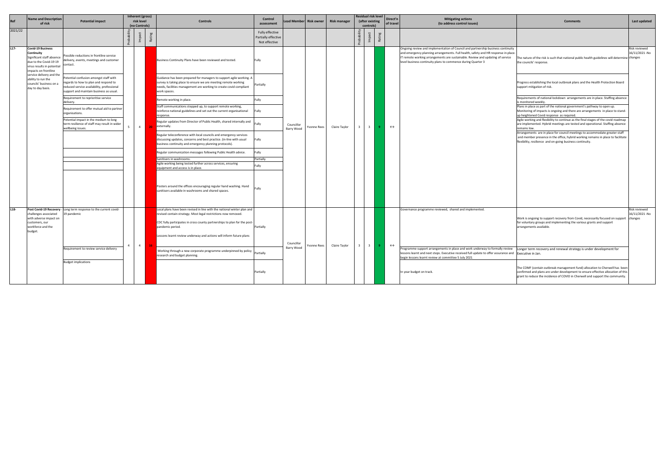| Re      | <b>Name and Description</b><br>of risk                                                                                                              | <b>Potential impact</b>                                                                                                                                                  |                                                                                           | Inherent (gross)<br>risk level<br>(no Controls)                            | <b>Controls</b>                                                                                                                                                                                                             | <b>Control</b><br>assessment                                                                                              |                                                                                                   | Lead Member Risk owner | <b>Risk manager</b> |              | <b>Residual risk level</b><br>(after existing<br>controls) |                          | Direct'n<br>of travel | <b>Mitigating actions</b><br>(to address control issues)                                                                                                                                                                                                                                                                 | <b>Comments</b>                                                                                                                                                                                                              | Last updated                   |  |                   |                                                                                                                                                                                                                              |                                                                                         |  |
|---------|-----------------------------------------------------------------------------------------------------------------------------------------------------|--------------------------------------------------------------------------------------------------------------------------------------------------------------------------|-------------------------------------------------------------------------------------------|----------------------------------------------------------------------------|-----------------------------------------------------------------------------------------------------------------------------------------------------------------------------------------------------------------------------|---------------------------------------------------------------------------------------------------------------------------|---------------------------------------------------------------------------------------------------|------------------------|---------------------|--------------|------------------------------------------------------------|--------------------------|-----------------------|--------------------------------------------------------------------------------------------------------------------------------------------------------------------------------------------------------------------------------------------------------------------------------------------------------------------------|------------------------------------------------------------------------------------------------------------------------------------------------------------------------------------------------------------------------------|--------------------------------|--|-------------------|------------------------------------------------------------------------------------------------------------------------------------------------------------------------------------------------------------------------------|-----------------------------------------------------------------------------------------|--|
| 2021/22 |                                                                                                                                                     |                                                                                                                                                                          |                                                                                           |                                                                            | Rati                                                                                                                                                                                                                        | Fully effective<br>Partially effective<br>Not effective                                                                   |                                                                                                   |                        |                     |              |                                                            | Rati                     |                       |                                                                                                                                                                                                                                                                                                                          |                                                                                                                                                                                                                              |                                |  |                   |                                                                                                                                                                                                                              |                                                                                         |  |
| $L17-$  | <b>Covid-19 Business</b><br>Continuity<br>Significant staff absence<br>due to the Covid-19 19<br>virus results in potential<br>impacts on frontline | Possible reductions in frontline service<br>delivery, events, meetings and customer<br>contact.                                                                          |                                                                                           |                                                                            | Business Continuity Plans have been reviewed and tested.                                                                                                                                                                    | Fully                                                                                                                     |                                                                                                   |                        |                     |              |                                                            |                          |                       | Ongoing review and implementation of Council and partnership business continuity<br>and emergency planning arrangements. Full health, safety and HR response in place.<br>IT remote working arrangements are sustainable. Review and updating of service<br>level business continuity plans to commence during Quarter 3 | The nature of the risk is such that national public health guidelines will determine changes<br>the councils' response.                                                                                                      | Risk reviewed<br>16/11/2021-No |  |                   |                                                                                                                                                                                                                              |                                                                                         |  |
|         | service delivery and the<br>ability to run the<br>councils' business on a<br>day to day basis.                                                      | Potential confusion amongst staff with<br>regards to how to plan and respond to<br>reduced service availability, professional<br>support and maintain business as usual. |                                                                                           |                                                                            | Guidance has been prepared for managers to support agile working. A<br>survey is taking place to ensure we are meeting remote working<br>needs, facilities management are working to create covid compliant<br>work spaces. | Partially                                                                                                                 |                                                                                                   |                        |                     |              |                                                            |                          |                       |                                                                                                                                                                                                                                                                                                                          | Progress establishing the local outbreak plans and the Health Protection Board<br>support mitigation of risk.                                                                                                                |                                |  |                   |                                                                                                                                                                                                                              |                                                                                         |  |
|         |                                                                                                                                                     | Requirement to reprioritise service<br>delivery.                                                                                                                         |                                                                                           |                                                                            | Remote working in place.                                                                                                                                                                                                    | ully-                                                                                                                     |                                                                                                   |                        |                     |              |                                                            |                          |                       | s monitored weekly<br>remains low.                                                                                                                                                                                                                                                                                       | Requirements of national lockdown arrangements are in place. Staffing absence                                                                                                                                                |                                |  |                   |                                                                                                                                                                                                                              |                                                                                         |  |
|         |                                                                                                                                                     | Requirement to offer mutual aid to partner<br>organisations.                                                                                                             |                                                                                           |                                                                            | Staff communications stepped up, to support remote working,<br>reinforce national guidelines and set out the current organisational<br>response.                                                                            | Fully                                                                                                                     |                                                                                                   |                        |                     |              |                                                            |                          |                       |                                                                                                                                                                                                                                                                                                                          | Plans in place as part of the national government's pathway to open up.<br>Monitoring of impacts is ongoing and there are arrangements in place to stand-<br>up heightened Covid response as required.                       |                                |  |                   |                                                                                                                                                                                                                              |                                                                                         |  |
|         |                                                                                                                                                     | Potential impact in the medium to long<br>term resilience of staff may result in wider<br>wellbeing issues.                                                              | - 5                                                                                       | $4 \quad$                                                                  | Regular updates from Director of Public Health, shared internally and<br>externally.<br>-20                                                                                                                                 |                                                                                                                           | Councillor<br>Barry Wood                                                                          | Yvonne Rees            | Claire Taylor       | $\mathbf{3}$ | $\overline{\mathbf{3}}$                                    |                          | $\leftrightarrow$     |                                                                                                                                                                                                                                                                                                                          | Agile working and flexibility to continue as the final stages of the covid roadmap<br>are implemented. Hybrid meetings are tested and operational. Staffing absence                                                          |                                |  |                   |                                                                                                                                                                                                                              |                                                                                         |  |
|         |                                                                                                                                                     |                                                                                                                                                                          |                                                                                           |                                                                            | Regular teleconference with local councils and emergency services<br>discussing updates, concerns and best practice. (in-line with usual<br>business continuity and emergency planning protocols).                          | Fully                                                                                                                     |                                                                                                   |                        |                     |              |                                                            |                          |                       |                                                                                                                                                                                                                                                                                                                          | Arrangements are in place for council meetings to accommodate greater staff<br>and member presence in the office, hybrid working remains in place to facilitate<br>flexibility, resilience and on-going business continuity. |                                |  |                   |                                                                                                                                                                                                                              |                                                                                         |  |
|         |                                                                                                                                                     |                                                                                                                                                                          |                                                                                           |                                                                            | Regular communication messages following Public Health advice.                                                                                                                                                              | Fully                                                                                                                     |                                                                                                   |                        |                     |              |                                                            |                          |                       |                                                                                                                                                                                                                                                                                                                          |                                                                                                                                                                                                                              |                                |  |                   |                                                                                                                                                                                                                              |                                                                                         |  |
|         |                                                                                                                                                     |                                                                                                                                                                          |                                                                                           |                                                                            | Sanitisers in washrooms                                                                                                                                                                                                     | Partially                                                                                                                 |                                                                                                   |                        |                     |              |                                                            |                          |                       |                                                                                                                                                                                                                                                                                                                          |                                                                                                                                                                                                                              |                                |  |                   |                                                                                                                                                                                                                              |                                                                                         |  |
|         |                                                                                                                                                     |                                                                                                                                                                          |                                                                                           |                                                                            |                                                                                                                                                                                                                             |                                                                                                                           | Agile working being tested further across services, ensuring<br>equipment and access is in place. | ullv                   |                     |              |                                                            |                          |                       |                                                                                                                                                                                                                                                                                                                          |                                                                                                                                                                                                                              |                                |  |                   |                                                                                                                                                                                                                              |                                                                                         |  |
|         |                                                                                                                                                     |                                                                                                                                                                          |                                                                                           |                                                                            |                                                                                                                                                                                                                             | Posters around the offices encouraging regular hand washing. Hand<br>sanitisers available in washrooms and shared spaces. |                                                                                                   |                        |                     |              |                                                            |                          |                       |                                                                                                                                                                                                                                                                                                                          |                                                                                                                                                                                                                              |                                |  |                   |                                                                                                                                                                                                                              |                                                                                         |  |
| L18-    |                                                                                                                                                     | Post Covid-19 Recovery - Long term response to the current covid-                                                                                                        |                                                                                           |                                                                            | Local plans have been revised in line with the national winter plan and                                                                                                                                                     |                                                                                                                           |                                                                                                   |                        |                     |              |                                                            |                          |                       | Governance programme reviewed, shared and implemented.                                                                                                                                                                                                                                                                   |                                                                                                                                                                                                                              | Risk reviewed                  |  |                   |                                                                                                                                                                                                                              |                                                                                         |  |
|         | challenges associated<br>with adverse impact on<br>customers, our<br>workforce and the                                                              | 19 pandemic                                                                                                                                                              |                                                                                           |                                                                            | revised contain strategy. Most legal restrictions now removed.<br>CDC fully participates in cross county partnerships to plan for the post-                                                                                 | Partially                                                                                                                 |                                                                                                   |                        |                     |              |                                                            |                          |                       |                                                                                                                                                                                                                                                                                                                          | Work is ongoing to support recovery from Covid, necessarily focused on support changes<br>for voluntary groups and implementing the various grants and support<br>arrangements available.                                    | 16/11/2021 -No                 |  |                   |                                                                                                                                                                                                                              |                                                                                         |  |
|         | budget.                                                                                                                                             |                                                                                                                                                                          |                                                                                           | pandemic period.<br>$\sim$ 4<br><b>16</b><br>research and budget planning. | Lessons learnt review underway and actions will inform future plans                                                                                                                                                         |                                                                                                                           |                                                                                                   |                        |                     |              |                                                            |                          |                       |                                                                                                                                                                                                                                                                                                                          |                                                                                                                                                                                                                              |                                |  |                   |                                                                                                                                                                                                                              |                                                                                         |  |
|         |                                                                                                                                                     | Requirement to review service delivery                                                                                                                                   | Working through a new corporate programme underpinned by policy<br>Partially<br>Partially |                                                                            |                                                                                                                                                                                                                             |                                                                                                                           |                                                                                                   |                        |                     |              |                                                            | Councillor<br>Barry Wood | Yvonne Rees           | Claire Taylor                                                                                                                                                                                                                                                                                                            |                                                                                                                                                                                                                              | $\overline{\mathbf{3}}$        |  | $\leftrightarrow$ | Programme support arrangements in place and work underway to formally review<br>lessons learnt and next steps. Executive received full update to offer assurance and<br>begin lessons learnt review at committee 5 July 2021 | Longer term recovery and renewal strategy is under development for<br>Executive in Jan. |  |
|         |                                                                                                                                                     | <b>Budget implications</b>                                                                                                                                               |                                                                                           |                                                                            |                                                                                                                                                                                                                             |                                                                                                                           |                                                                                                   |                        |                     |              |                                                            |                          |                       |                                                                                                                                                                                                                                                                                                                          |                                                                                                                                                                                                                              |                                |  |                   |                                                                                                                                                                                                                              |                                                                                         |  |

| <b>Mitigating actions</b><br>(to address control issues)                                                                                                                                                                                                                                                                | <b>Comments</b>                                                                                                                                                                                                                                  | Last updated                                       |
|-------------------------------------------------------------------------------------------------------------------------------------------------------------------------------------------------------------------------------------------------------------------------------------------------------------------------|--------------------------------------------------------------------------------------------------------------------------------------------------------------------------------------------------------------------------------------------------|----------------------------------------------------|
|                                                                                                                                                                                                                                                                                                                         |                                                                                                                                                                                                                                                  |                                                    |
| Ongoing review and implementation of Council and partnership business continuity<br>and emergency planning arrangements. Full health, safety and HR response in place.<br>T remote working arrangements are sustainable. Review and updating of service<br>level business continuity plans to commence during Quarter 3 | The nature of the risk is such that national public health guidelines will determine changes<br>the councils' response.                                                                                                                          | Risk reviewed<br>16/11/2021 -No                    |
|                                                                                                                                                                                                                                                                                                                         | Progress establishing the local outbreak plans and the Health Protection Board<br>support mitigation of risk.                                                                                                                                    |                                                    |
|                                                                                                                                                                                                                                                                                                                         | Requirements of national lockdown arrangements are in place. Staffing absence<br>is monitored weekly.                                                                                                                                            |                                                    |
|                                                                                                                                                                                                                                                                                                                         | Plans in place as part of the national government's pathway to open up.<br>Monitoring of impacts is ongoing and there are arrangements in place to stand-<br>up heightened Covid response as required.                                           |                                                    |
|                                                                                                                                                                                                                                                                                                                         | Agile working and flexibility to continue as the final stages of the covid roadmap<br>are implemented. Hybrid meetings are tested and operational. Staffing absence<br>remains low.                                                              |                                                    |
|                                                                                                                                                                                                                                                                                                                         | Arrangements are in place for council meetings to accommodate greater staff<br>and member presence in the office, hybrid working remains in place to facilitate<br>flexibility, resilience and on-going business continuity.                     |                                                    |
|                                                                                                                                                                                                                                                                                                                         |                                                                                                                                                                                                                                                  |                                                    |
|                                                                                                                                                                                                                                                                                                                         |                                                                                                                                                                                                                                                  |                                                    |
|                                                                                                                                                                                                                                                                                                                         |                                                                                                                                                                                                                                                  |                                                    |
|                                                                                                                                                                                                                                                                                                                         |                                                                                                                                                                                                                                                  |                                                    |
|                                                                                                                                                                                                                                                                                                                         |                                                                                                                                                                                                                                                  |                                                    |
| Governance programme reviewed, shared and implemented.                                                                                                                                                                                                                                                                  | Work is ongoing to support recovery from Covid, necessarily focused on support<br>for voluntary groups and implementing the various grants and support<br>arrangements available.                                                                | <b>Risk reviewed</b><br>16/11/2021 - No<br>changes |
|                                                                                                                                                                                                                                                                                                                         |                                                                                                                                                                                                                                                  |                                                    |
| Programme support arrangements in place and work underway to formally review<br>lessons learnt and next steps. Executive received full update to offer assurance and<br>begin lessons learnt review at committee 5 July 2021                                                                                            | Longer term recovery and renewal strategy is under development for<br>Executive in Jan.                                                                                                                                                          |                                                    |
| In year budget on track.                                                                                                                                                                                                                                                                                                | The COMF (contain outbreak management fund) allocation to Cherwell has been<br>confirmed and plans are under development to ensure effective allocation of this<br>grant to reduce the incidence of COVID in Cherwell and support the community. |                                                    |